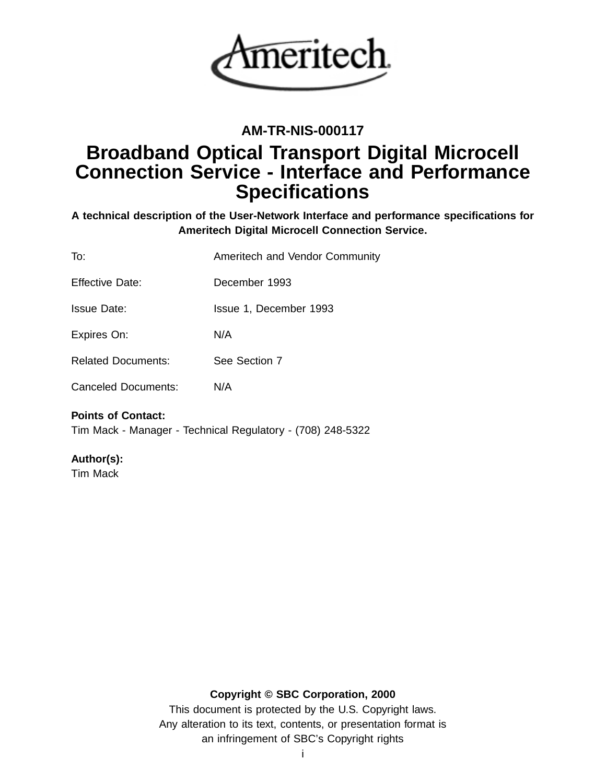

# **AM-TR-NIS-000117**

# **Broadband Optical Transport Digital Microcell Connection Service - Interface and Performance Specifications**

**A technical description of the User-Network Interface and performance specifications for Ameritech Digital Microcell Connection Service.**

| To:                       | Ameritech and Vendor Community |
|---------------------------|--------------------------------|
| Effective Date:           | December 1993                  |
| <b>Issue Date:</b>        | Issue 1, December 1993         |
| Expires On:               | N/A                            |
| <b>Related Documents:</b> | See Section 7                  |
| Canceled Documents:       | N/A                            |

#### **Points of Contact:**

Tim Mack - Manager - Technical Regulatory - (708) 248-5322

# **Author(s):**

Tim Mack

#### **Copyright © SBC Corporation, 2000**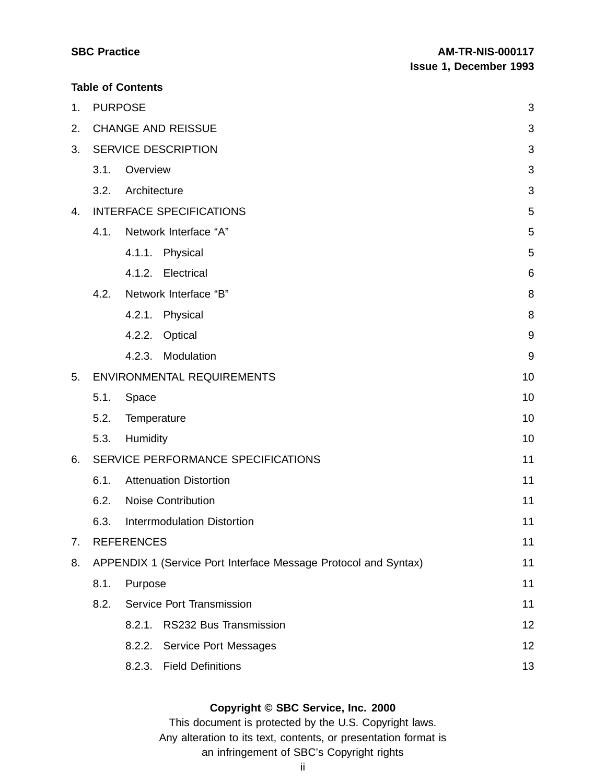|    | <b>SBC Practice</b> |                          |                                                                 | <b>AM-TR-NIS-000117</b><br>Issue 1, December 1993 |
|----|---------------------|--------------------------|-----------------------------------------------------------------|---------------------------------------------------|
|    |                     | <b>Table of Contents</b> |                                                                 |                                                   |
| 1. |                     | <b>PURPOSE</b>           |                                                                 | 3                                                 |
| 2. |                     |                          | <b>CHANGE AND REISSUE</b>                                       | 3                                                 |
| 3. |                     |                          | SERVICE DESCRIPTION                                             | 3                                                 |
|    | 3.1.                | Overview                 |                                                                 | 3                                                 |
|    | 3.2.                | Architecture             |                                                                 | 3                                                 |
| 4. |                     |                          | <b>INTERFACE SPECIFICATIONS</b>                                 | 5                                                 |
|    | 4.1.                |                          | Network Interface "A"                                           | 5                                                 |
|    |                     |                          | 4.1.1. Physical                                                 | 5                                                 |
|    |                     |                          | 4.1.2. Electrical                                               | 6                                                 |
|    | 4.2.                |                          | Network Interface "B"                                           | 8                                                 |
|    |                     |                          | 4.2.1. Physical                                                 | 8                                                 |
|    |                     | 4.2.2.                   | Optical                                                         | 9                                                 |
|    |                     | 4.2.3.                   | Modulation                                                      | 9                                                 |
| 5. |                     |                          | <b>ENVIRONMENTAL REQUIREMENTS</b>                               | 10                                                |
|    | 5.1.                | Space                    |                                                                 | 10                                                |
|    | 5.2.                | Temperature              |                                                                 | 10                                                |
|    | 5.3.                | Humidity                 |                                                                 | 10                                                |
| 6. |                     |                          | SERVICE PERFORMANCE SPECIFICATIONS                              | 11                                                |
|    | 6.1.                |                          | <b>Attenuation Distortion</b>                                   | 11                                                |
|    | 6.2.                |                          | <b>Noise Contribution</b>                                       | 11                                                |
|    | 6.3.                |                          | <b>Interrmodulation Distortion</b>                              | 11                                                |
| 7. |                     | <b>REFERENCES</b>        |                                                                 | 11                                                |
| 8. |                     |                          | APPENDIX 1 (Service Port Interface Message Protocol and Syntax) | 11                                                |
|    | 8.1.                | Purpose                  |                                                                 | 11                                                |
|    | 8.2.                |                          | Service Port Transmission                                       | 11                                                |
|    |                     |                          | 8.2.1. RS232 Bus Transmission                                   | 12                                                |
|    |                     | 8.2.2.                   | <b>Service Port Messages</b>                                    | 12                                                |
|    |                     |                          | 8.2.3. Field Definitions                                        | 13                                                |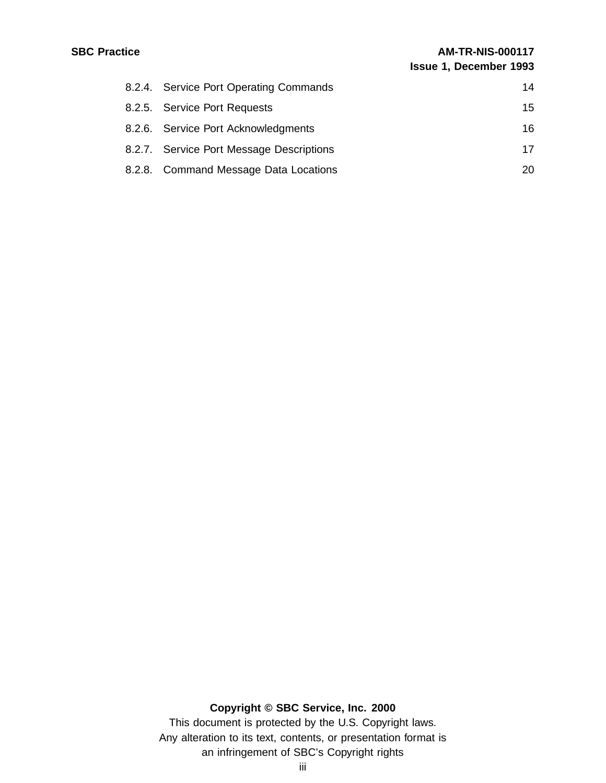| 8.2.4. Service Port Operating Commands   | 14 |
|------------------------------------------|----|
| 8.2.5. Service Port Requests             | 15 |
| 8.2.6. Service Port Acknowledgments      | 16 |
| 8.2.7. Service Port Message Descriptions | 17 |
| 8.2.8. Command Message Data Locations    | 20 |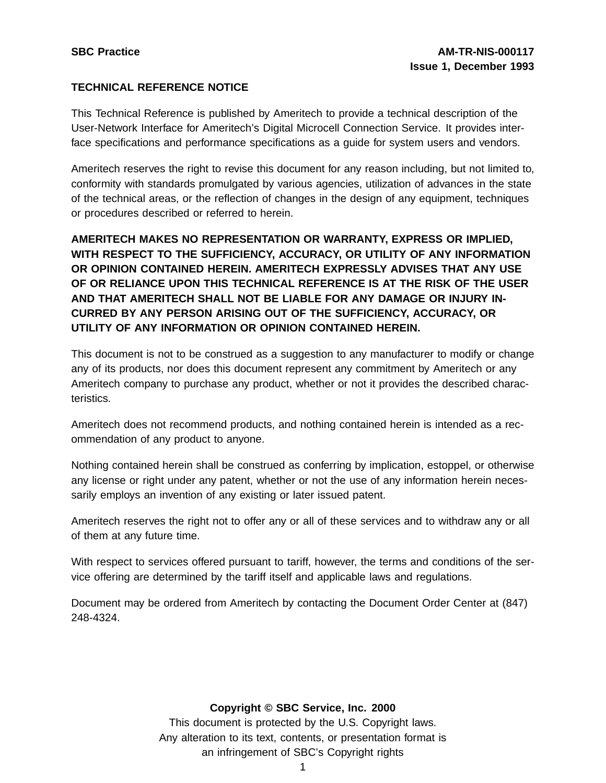# **TECHNICAL REFERENCE NOTICE**

This Technical Reference is published by Ameritech to provide a technical description of the User-Network Interface for Ameritech's Digital Microcell Connection Service. It provides interface specifications and performance specifications as a guide for system users and vendors.

Ameritech reserves the right to revise this document for any reason including, but not limited to, conformity with standards promulgated by various agencies, utilization of advances in the state of the technical areas, or the reflection of changes in the design of any equipment, techniques or procedures described or referred to herein.

**AMERITECH MAKES NO REPRESENTATION OR WARRANTY, EXPRESS OR IMPLIED, WITH RESPECT TO THE SUFFICIENCY, ACCURACY, OR UTILITY OF ANY INFORMATION OR OPINION CONTAINED HEREIN. AMERITECH EXPRESSLY ADVISES THAT ANY USE OF OR RELIANCE UPON THIS TECHNICAL REFERENCE IS AT THE RISK OF THE USER AND THAT AMERITECH SHALL NOT BE LIABLE FOR ANY DAMAGE OR INJURY IN-CURRED BY ANY PERSON ARISING OUT OF THE SUFFICIENCY, ACCURACY, OR UTILITY OF ANY INFORMATION OR OPINION CONTAINED HEREIN.**

This document is not to be construed as a suggestion to any manufacturer to modify or change any of its products, nor does this document represent any commitment by Ameritech or any Ameritech company to purchase any product, whether or not it provides the described characteristics.

Ameritech does not recommend products, and nothing contained herein is intended as a recommendation of any product to anyone.

Nothing contained herein shall be construed as conferring by implication, estoppel, or otherwise any license or right under any patent, whether or not the use of any information herein necessarily employs an invention of any existing or later issued patent.

Ameritech reserves the right not to offer any or all of these services and to withdraw any or all of them at any future time.

With respect to services offered pursuant to tariff, however, the terms and conditions of the service offering are determined by the tariff itself and applicable laws and regulations.

Document may be ordered from Ameritech by contacting the Document Order Center at (847) 248-4324.

#### **Copyright © SBC Service, Inc. 2000**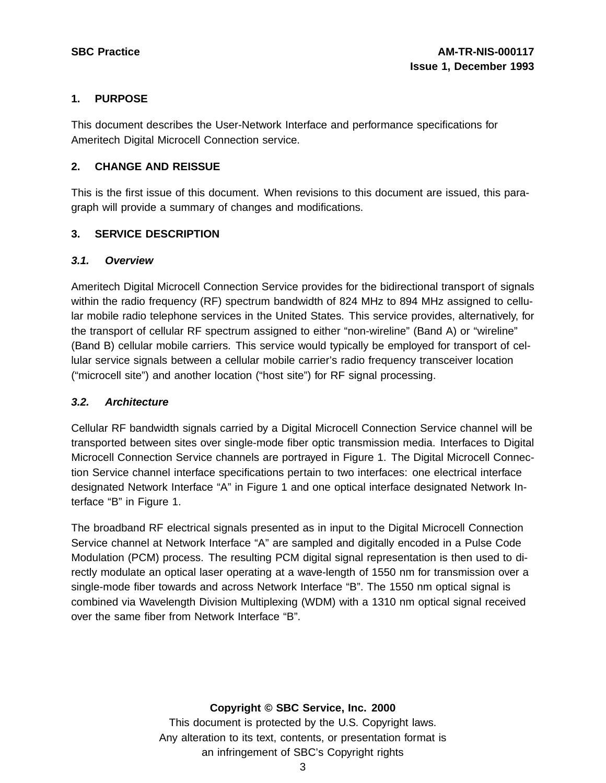# **1. PURPOSE**

This document describes the User-Network Interface and performance specifications for Ameritech Digital Microcell Connection service.

#### **2. CHANGE AND REISSUE**

This is the first issue of this document. When revisions to this document are issued, this paragraph will provide a summary of changes and modifications.

# **3. SERVICE DESCRIPTION**

#### **3.1. Overview**

Ameritech Digital Microcell Connection Service provides for the bidirectional transport of signals within the radio frequency (RF) spectrum bandwidth of 824 MHz to 894 MHz assigned to cellular mobile radio telephone services in the United States. This service provides, alternatively, for the transport of cellular RF spectrum assigned to either "non-wireline" (Band A) or "wireline" (Band B) cellular mobile carriers. This service would typically be employed for transport of cellular service signals between a cellular mobile carrier's radio frequency transceiver location ("microcell site") and another location ("host site") for RF signal processing.

#### **3.2. Architecture**

Cellular RF bandwidth signals carried by a Digital Microcell Connection Service channel will be transported between sites over single-mode fiber optic transmission media. Interfaces to Digital Microcell Connection Service channels are portrayed in Figure 1. The Digital Microcell Connection Service channel interface specifications pertain to two interfaces: one electrical interface designated Network Interface "A" in Figure 1 and one optical interface designated Network Interface "B" in Figure 1.

The broadband RF electrical signals presented as in input to the Digital Microcell Connection Service channel at Network Interface "A" are sampled and digitally encoded in a Pulse Code Modulation (PCM) process. The resulting PCM digital signal representation is then used to directly modulate an optical laser operating at a wave-length of 1550 nm for transmission over a single-mode fiber towards and across Network Interface "B". The 1550 nm optical signal is combined via Wavelength Division Multiplexing (WDM) with a 1310 nm optical signal received over the same fiber from Network Interface "B".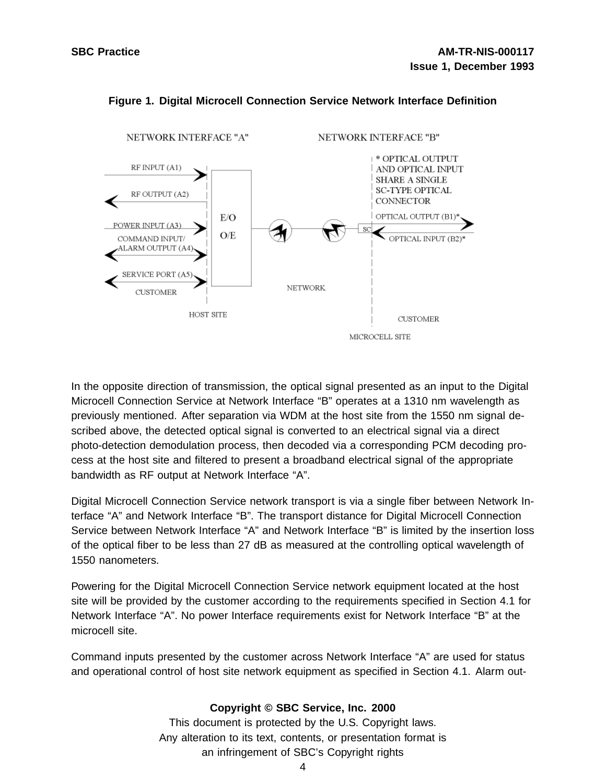

#### **Figure 1. Digital Microcell Connection Service Network Interface Definition**

In the opposite direction of transmission, the optical signal presented as an input to the Digital Microcell Connection Service at Network Interface "B" operates at a 1310 nm wavelength as previously mentioned. After separation via WDM at the host site from the 1550 nm signal described above, the detected optical signal is converted to an electrical signal via a direct photo-detection demodulation process, then decoded via a corresponding PCM decoding process at the host site and filtered to present a broadband electrical signal of the appropriate bandwidth as RF output at Network Interface "A".

Digital Microcell Connection Service network transport is via a single fiber between Network Interface "A" and Network Interface "B". The transport distance for Digital Microcell Connection Service between Network Interface "A" and Network Interface "B" is limited by the insertion loss of the optical fiber to be less than 27 dB as measured at the controlling optical wavelength of 1550 nanometers.

Powering for the Digital Microcell Connection Service network equipment located at the host site will be provided by the customer according to the requirements specified in Section 4.1 for Network Interface "A". No power Interface requirements exist for Network Interface "B" at the microcell site.

Command inputs presented by the customer across Network Interface "A" are used for status and operational control of host site network equipment as specified in Section 4.1. Alarm out-

#### **Copyright © SBC Service, Inc. 2000**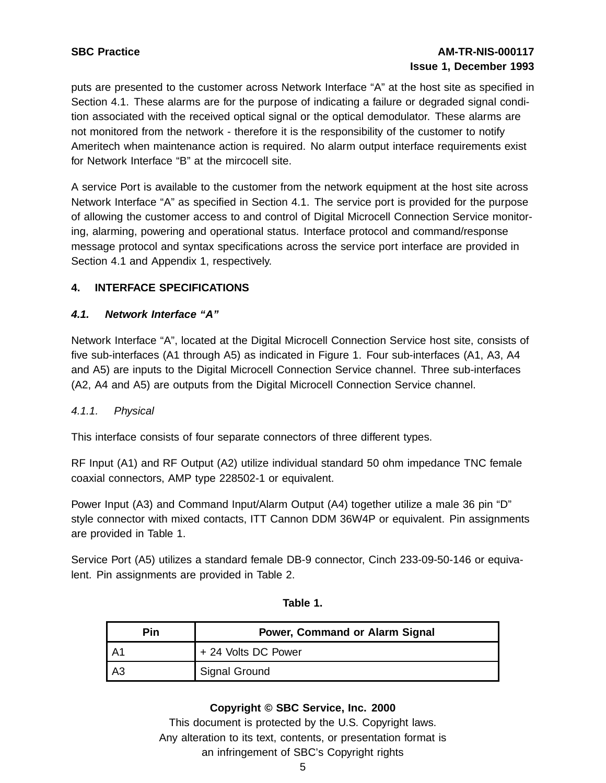# **SBC Practice AM-TR-NIS-000117 Issue 1, December 1993**

puts are presented to the customer across Network Interface "A" at the host site as specified in Section 4.1. These alarms are for the purpose of indicating a failure or degraded signal condition associated with the received optical signal or the optical demodulator. These alarms are not monitored from the network - therefore it is the responsibility of the customer to notify Ameritech when maintenance action is required. No alarm output interface requirements exist for Network Interface "B" at the mircocell site.

A service Port is available to the customer from the network equipment at the host site across Network Interface "A" as specified in Section 4.1. The service port is provided for the purpose of allowing the customer access to and control of Digital Microcell Connection Service monitoring, alarming, powering and operational status. Interface protocol and command/response message protocol and syntax specifications across the service port interface are provided in Section 4.1 and Appendix 1, respectively.

# **4. INTERFACE SPECIFICATIONS**

# **4.1. Network Interface "A"**

Network Interface "A", located at the Digital Microcell Connection Service host site, consists of five sub-interfaces (A1 through A5) as indicated in Figure 1. Four sub-interfaces (A1, A3, A4 and A5) are inputs to the Digital Microcell Connection Service channel. Three sub-interfaces (A2, A4 and A5) are outputs from the Digital Microcell Connection Service channel.

#### 4.1.1. Physical

This interface consists of four separate connectors of three different types.

RF Input (A1) and RF Output (A2) utilize individual standard 50 ohm impedance TNC female coaxial connectors, AMP type 228502-1 or equivalent.

Power Input (A3) and Command Input/Alarm Output (A4) together utilize a male 36 pin "D" style connector with mixed contacts, ITT Cannon DDM 36W4P or equivalent. Pin assignments are provided in Table 1.

Service Port (A5) utilizes a standard female DB-9 connector, Cinch 233-09-50-146 or equivalent. Pin assignments are provided in Table 2.

| Pin             | Power, Command or Alarm Signal |
|-----------------|--------------------------------|
| А1 <sup>-</sup> | + 24 Volts DC Power            |
| ΑЗ              | Signal Ground                  |

#### **Table 1.**

#### **Copyright © SBC Service, Inc. 2000**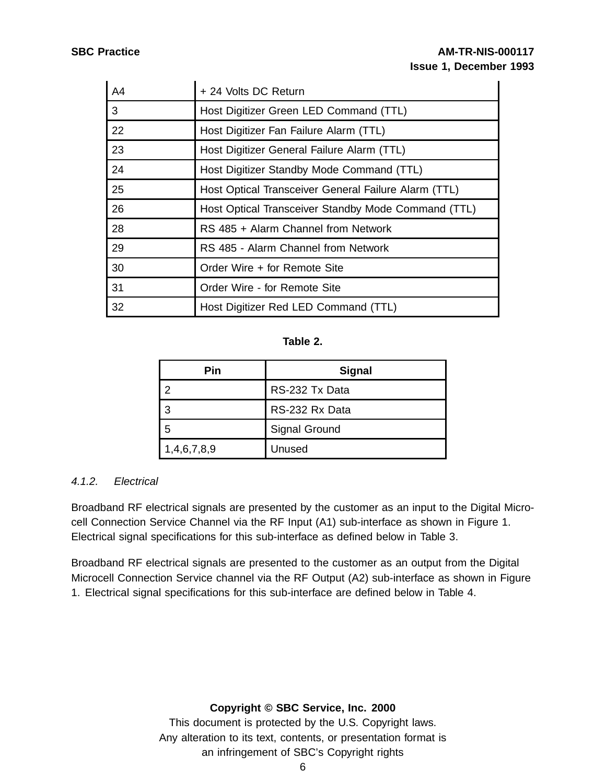| A <sub>4</sub> | + 24 Volts DC Return                                 |
|----------------|------------------------------------------------------|
| 3              | Host Digitizer Green LED Command (TTL)               |
| 22             | Host Digitizer Fan Failure Alarm (TTL)               |
| 23             | Host Digitizer General Failure Alarm (TTL)           |
| 24             | Host Digitizer Standby Mode Command (TTL)            |
| 25             | Host Optical Transceiver General Failure Alarm (TTL) |
| 26             | Host Optical Transceiver Standby Mode Command (TTL)  |
| 28             | RS 485 + Alarm Channel from Network                  |
| 29             | RS 485 - Alarm Channel from Network                  |
| 30             | Order Wire + for Remote Site                         |
| 31             | Order Wire - for Remote Site                         |
| 32             | Host Digitizer Red LED Command (TTL)                 |

#### **Table 2.**

| Pin         | <b>Signal</b>        |
|-------------|----------------------|
|             | RS-232 Tx Data       |
|             | RS-232 Rx Data       |
|             | <b>Signal Ground</b> |
| 1,4,6,7,8,9 | Unused               |

#### 4.1.2. Electrical

Broadband RF electrical signals are presented by the customer as an input to the Digital Microcell Connection Service Channel via the RF Input (A1) sub-interface as shown in Figure 1. Electrical signal specifications for this sub-interface as defined below in Table 3.

Broadband RF electrical signals are presented to the customer as an output from the Digital Microcell Connection Service channel via the RF Output (A2) sub-interface as shown in Figure 1. Electrical signal specifications for this sub-interface are defined below in Table 4.

#### **Copyright © SBC Service, Inc. 2000**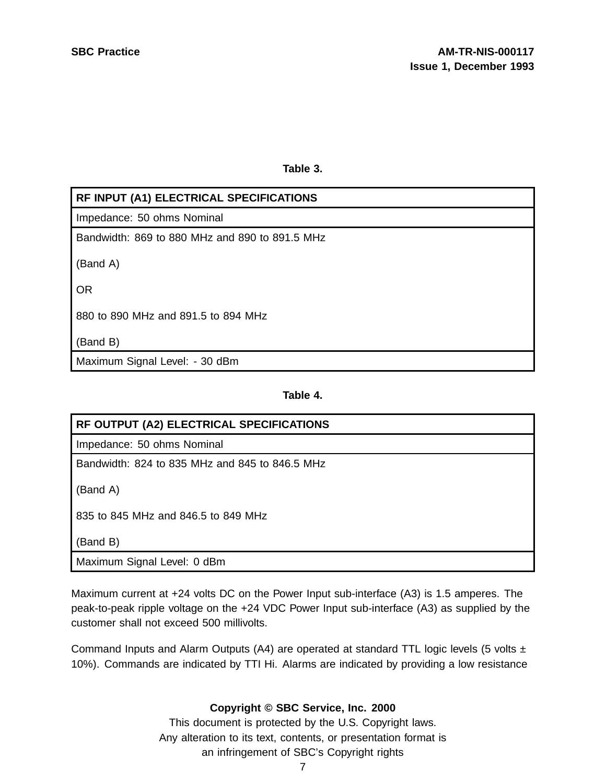**Table 3.**

# **RF INPUT (A1) ELECTRICAL SPECIFICATIONS**

Impedance: 50 ohms Nominal

Bandwidth: 869 to 880 MHz and 890 to 891.5 MHz

(Band A)

OR

880 to 890 MHz and 891.5 to 894 MHz

(Band B)

Maximum Signal Level: - 30 dBm

**Table 4.**

| RF OUTPUT (A2) ELECTRICAL SPECIFICATIONS       |
|------------------------------------------------|
| Impedance: 50 ohms Nominal                     |
| Bandwidth: 824 to 835 MHz and 845 to 846.5 MHz |
| (Band A)                                       |
| 835 to 845 MHz and 846.5 to 849 MHz            |
| (Band B)                                       |
| Maximum Signal Level: 0 dBm                    |

Maximum current at +24 volts DC on the Power Input sub-interface (A3) is 1.5 amperes. The peak-to-peak ripple voltage on the +24 VDC Power Input sub-interface (A3) as supplied by the customer shall not exceed 500 millivolts.

Command Inputs and Alarm Outputs (A4) are operated at standard TTL logic levels (5 volts  $\pm$ 10%). Commands are indicated by TTI Hi. Alarms are indicated by providing a low resistance

#### **Copyright © SBC Service, Inc. 2000**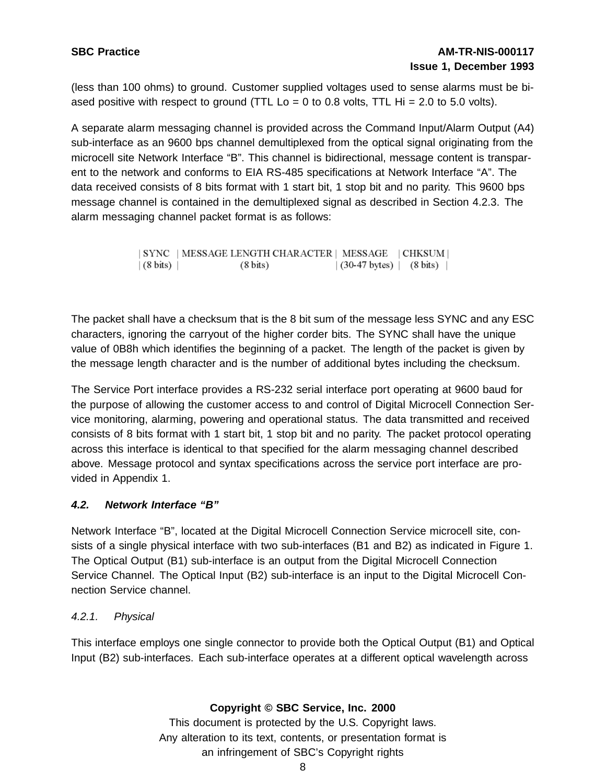(less than 100 ohms) to ground. Customer supplied voltages used to sense alarms must be biased positive with respect to ground (TTL Lo = 0 to 0.8 volts, TTL Hi = 2.0 to 5.0 volts).

A separate alarm messaging channel is provided across the Command Input/Alarm Output (A4) sub-interface as an 9600 bps channel demultiplexed from the optical signal originating from the microcell site Network Interface "B". This channel is bidirectional, message content is transparent to the network and conforms to EIA RS-485 specifications at Network Interface "A". The data received consists of 8 bits format with 1 start bit, 1 stop bit and no parity. This 9600 bps message channel is contained in the demultiplexed signal as described in Section 4.2.3. The alarm messaging channel packet format is as follows:

> | SYNC | MESSAGE LENGTH CHARACTER | MESSAGE | CHKSUM |  $(8 \text{ bits})$  $(8 \text{ bits})$  $(30-47 \text{ bytes})$   $(8 \text{ bits})$

The packet shall have a checksum that is the 8 bit sum of the message less SYNC and any ESC characters, ignoring the carryout of the higher corder bits. The SYNC shall have the unique value of 0B8h which identifies the beginning of a packet. The length of the packet is given by the message length character and is the number of additional bytes including the checksum.

The Service Port interface provides a RS-232 serial interface port operating at 9600 baud for the purpose of allowing the customer access to and control of Digital Microcell Connection Service monitoring, alarming, powering and operational status. The data transmitted and received consists of 8 bits format with 1 start bit, 1 stop bit and no parity. The packet protocol operating across this interface is identical to that specified for the alarm messaging channel described above. Message protocol and syntax specifications across the service port interface are provided in Appendix 1.

# **4.2. Network Interface "B"**

Network Interface "B", located at the Digital Microcell Connection Service microcell site, consists of a single physical interface with two sub-interfaces (B1 and B2) as indicated in Figure 1. The Optical Output (B1) sub-interface is an output from the Digital Microcell Connection Service Channel. The Optical Input (B2) sub-interface is an input to the Digital Microcell Connection Service channel.

#### 4.2.1. Physical

This interface employs one single connector to provide both the Optical Output (B1) and Optical Input (B2) sub-interfaces. Each sub-interface operates at a different optical wavelength across

**Copyright © SBC Service, Inc. 2000**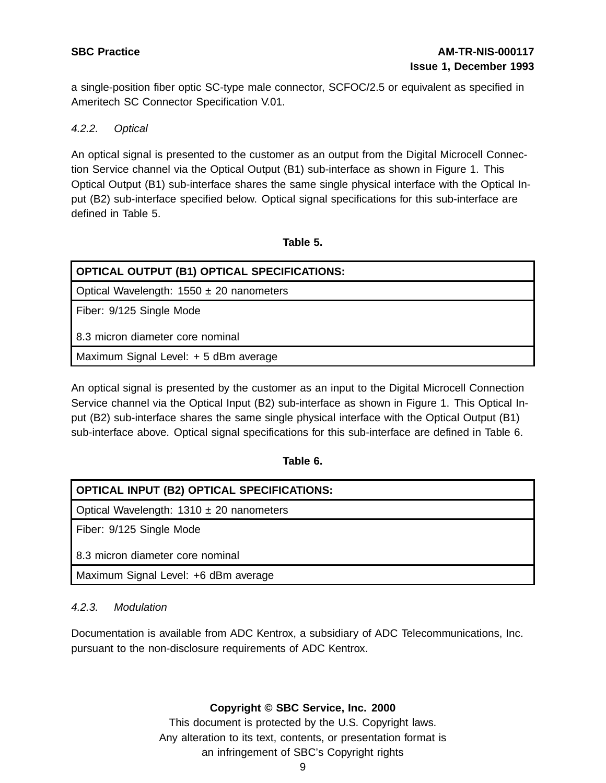a single-position fiber optic SC-type male connector, SCFOC/2.5 or equivalent as specified in Ameritech SC Connector Specification V.01.

#### 4.2.2. Optical

An optical signal is presented to the customer as an output from the Digital Microcell Connection Service channel via the Optical Output (B1) sub-interface as shown in Figure 1. This Optical Output (B1) sub-interface shares the same single physical interface with the Optical Input (B2) sub-interface specified below. Optical signal specifications for this sub-interface are defined in Table 5.

#### **Table 5.**

| <b>OPTICAL OUTPUT (B1) OPTICAL SPECIFICATIONS:</b> |
|----------------------------------------------------|
| Optical Wavelength: $1550 \pm 20$ nanometers       |
| Fiber: 9/125 Single Mode                           |
| 8.3 micron diameter core nominal                   |
| Maximum Signal Level: + 5 dBm average              |

An optical signal is presented by the customer as an input to the Digital Microcell Connection Service channel via the Optical Input (B2) sub-interface as shown in Figure 1. This Optical Input (B2) sub-interface shares the same single physical interface with the Optical Output (B1) sub-interface above. Optical signal specifications for this sub-interface are defined in Table 6.

#### **Table 6.**

| OPTICAL INPUT (B2) OPTICAL SPECIFICATIONS:   |
|----------------------------------------------|
| Optical Wavelength: $1310 \pm 20$ nanometers |
| Fiber: 9/125 Single Mode                     |
| 8.3 micron diameter core nominal             |
| Maximum Signal Level: +6 dBm average         |

#### 4.2.3. Modulation

Documentation is available from ADC Kentrox, a subsidiary of ADC Telecommunications, Inc. pursuant to the non-disclosure requirements of ADC Kentrox.

#### **Copyright © SBC Service, Inc. 2000**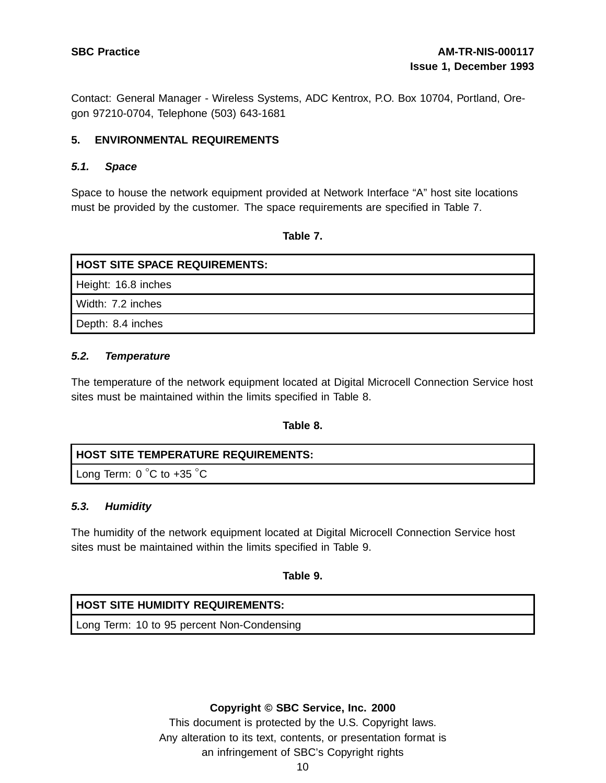Contact: General Manager - Wireless Systems, ADC Kentrox, P.O. Box 10704, Portland, Oregon 97210-0704, Telephone (503) 643-1681

#### **5. ENVIRONMENTAL REQUIREMENTS**

#### **5.1. Space**

Space to house the network equipment provided at Network Interface "A" host site locations must be provided by the customer. The space requirements are specified in Table 7.

#### **Table 7.**

| HOST SITE SPACE REQUIREMENTS: |
|-------------------------------|
| Height: 16.8 inches           |
| Width: 7.2 inches             |
| Depth: 8.4 inches             |

#### **5.2. Temperature**

The temperature of the network equipment located at Digital Microcell Connection Service host sites must be maintained within the limits specified in Table 8.

#### **Table 8.**

#### **HOST SITE TEMPERATURE REQUIREMENTS:**

Long Term: 0  $^{\circ}$ C to +35  $^{\circ}$ C  $^{-1}$ 

#### **5.3. Humidity**

The humidity of the network equipment located at Digital Microcell Connection Service host sites must be maintained within the limits specified in Table 9.

#### **Table 9.**

# **HOST SITE HUMIDITY REQUIREMENTS:**

Long Term: 10 to 95 percent Non-Condensing

#### **Copyright © SBC Service, Inc. 2000**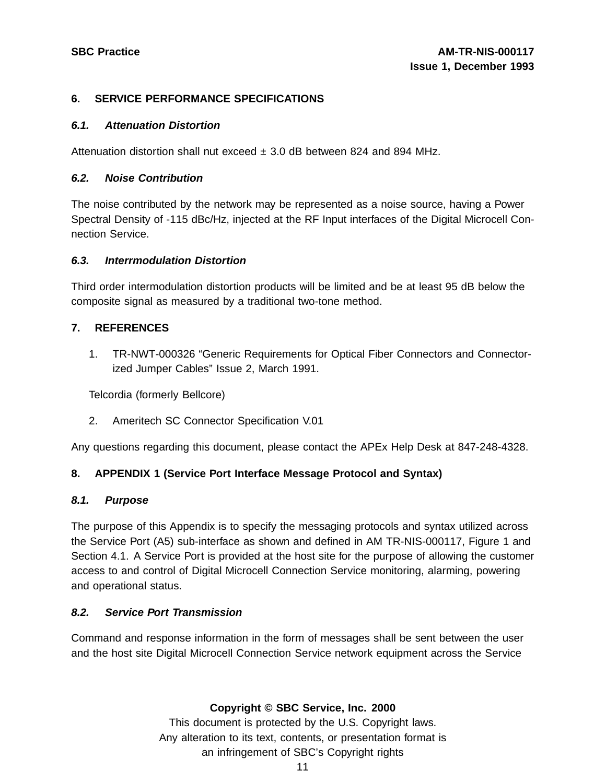#### **6. SERVICE PERFORMANCE SPECIFICATIONS**

#### **6.1. Attenuation Distortion**

Attenuation distortion shall nut exceed  $\pm$  3.0 dB between 824 and 894 MHz.

#### **6.2. Noise Contribution**

The noise contributed by the network may be represented as a noise source, having a Power Spectral Density of -115 dBc/Hz, injected at the RF Input interfaces of the Digital Microcell Connection Service.

#### **6.3. Interrmodulation Distortion**

Third order intermodulation distortion products will be limited and be at least 95 dB below the composite signal as measured by a traditional two-tone method.

# **7. REFERENCES**

1. TR-NWT-000326 "Generic Requirements for Optical Fiber Connectors and Connectorized Jumper Cables" Issue 2, March 1991.

Telcordia (formerly Bellcore)

2. Ameritech SC Connector Specification V.01

Any questions regarding this document, please contact the APEx Help Desk at 847-248-4328.

# **8. APPENDIX 1 (Service Port Interface Message Protocol and Syntax)**

#### **8.1. Purpose**

The purpose of this Appendix is to specify the messaging protocols and syntax utilized across the Service Port (A5) sub-interface as shown and defined in AM TR-NIS-000117, Figure 1 and Section 4.1. A Service Port is provided at the host site for the purpose of allowing the customer access to and control of Digital Microcell Connection Service monitoring, alarming, powering and operational status.

#### **8.2. Service Port Transmission**

Command and response information in the form of messages shall be sent between the user and the host site Digital Microcell Connection Service network equipment across the Service

**Copyright © SBC Service, Inc. 2000**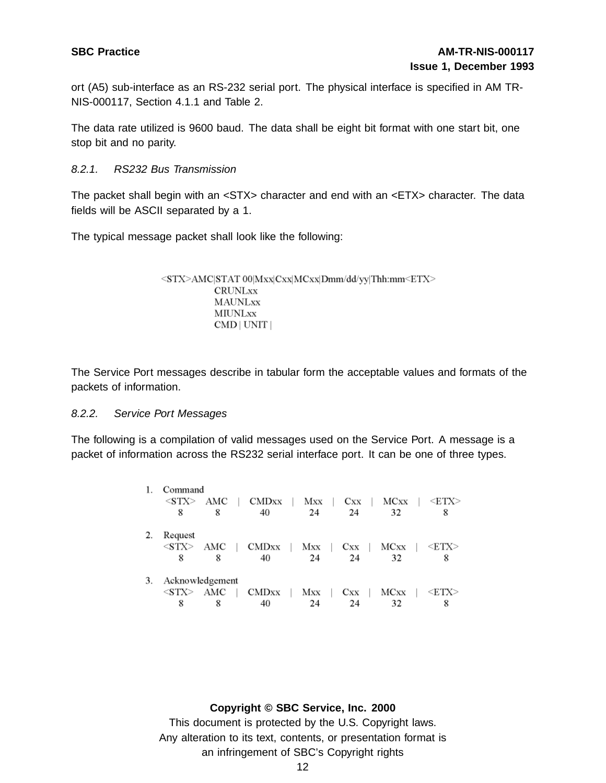ort (A5) sub-interface as an RS-232 serial port. The physical interface is specified in AM TR-NIS-000117, Section 4.1.1 and Table 2.

The data rate utilized is 9600 baud. The data shall be eight bit format with one start bit, one stop bit and no parity.

#### 8.2.1. RS232 Bus Transmission

The packet shall begin with an <STX> character and end with an <ETX> character. The data fields will be ASCII separated by a 1.

The typical message packet shall look like the following:

<STX>AMC|STAT 00|Mxx|Cxx|MCxx|Dmm/dd/yy|Thh:mm<ETX> **CRUNLxx MAUNLxx MIUNL**xx  $CMD | UNIT |$ 

The Service Port messages describe in tabular form the acceptable values and formats of the packets of information.

#### 8.2.2. Service Port Messages

The following is a compilation of valid messages used on the Service Port. A message is a packet of information across the RS232 serial interface port. It can be one of three types.

|    | Command     |                 |              |     |             |      |             |
|----|-------------|-----------------|--------------|-----|-------------|------|-------------|
|    | $<$ STX $>$ | AMC             | <b>CMDxx</b> | Mxx | Cxx         | MCxx | <etx></etx> |
|    | 8           | 8               | 40           | 24  | 24          | 32   | 8           |
|    |             |                 |              |     |             |      |             |
| 2. | Request     |                 |              |     |             |      |             |
|    | $<$ STX $>$ | AMC             | <b>CMDxx</b> | Mxx | Cxx         | MCxx | <etx></etx> |
|    | 8           | 8               | 40           | 24  | 24          | 32   | 8           |
|    |             |                 |              |     |             |      |             |
| 3. |             | Acknowledgement |              |     |             |      |             |
|    | $<$ STX $>$ | AMC             | <b>CMDxx</b> | Mxx | <b>C</b> xx | MCxx |             |
|    | 8           | 8               | 40           | 24  | 24          | 32   | 8           |

#### **Copyright © SBC Service, Inc. 2000**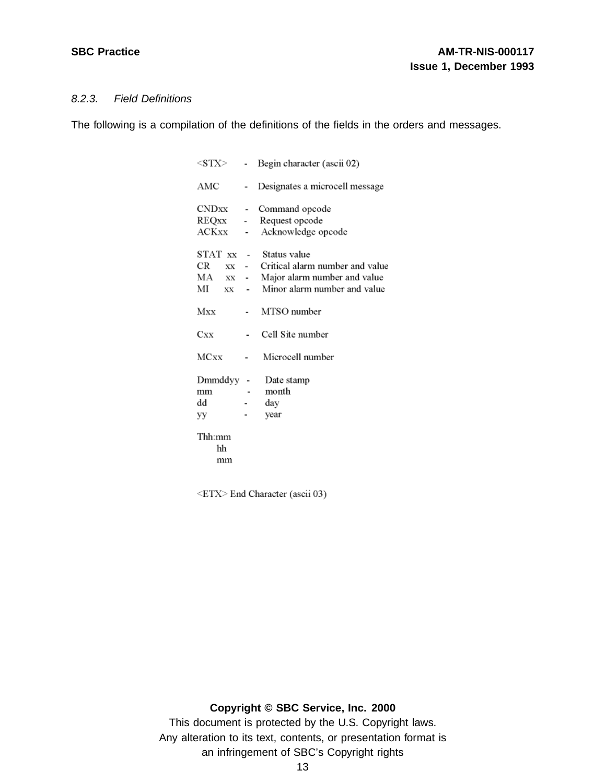### 8.2.3. Field Definitions

The following is a compilation of the definitions of the fields in the orders and messages.

| $<$ STX $>$                                        |                          | Begin character (ascii 02)                                                                                                     |
|----------------------------------------------------|--------------------------|--------------------------------------------------------------------------------------------------------------------------------|
| AMC                                                |                          | Designates a microcell message                                                                                                 |
| CNDxx<br>REQxx                                     | $\overline{a}$           | Command opcode<br>Request opcode                                                                                               |
| ACKxx                                              |                          | Acknowledge opcode                                                                                                             |
| STAT xx<br>CR<br>XX<br>MА<br>XX<br>MI<br>XX<br>Mxx | $\overline{\phantom{0}}$ | Status value<br>Critical alarm number and value<br>Major alarm number and value<br>Minor alarm number and value<br>MTSO number |
| Cxx                                                |                          | Cell Site number                                                                                                               |
| MCxx                                               |                          | Microcell number                                                                                                               |
| Dmmddyy<br>mm<br>dd<br>уу                          |                          | Date stamp<br>month<br>day<br>year                                                                                             |
| Thh:mm<br>hh<br>$_{\rm mm}$                        |                          |                                                                                                                                |

<ETX> End Character (ascii 03)

#### **Copyright © SBC Service, Inc. 2000**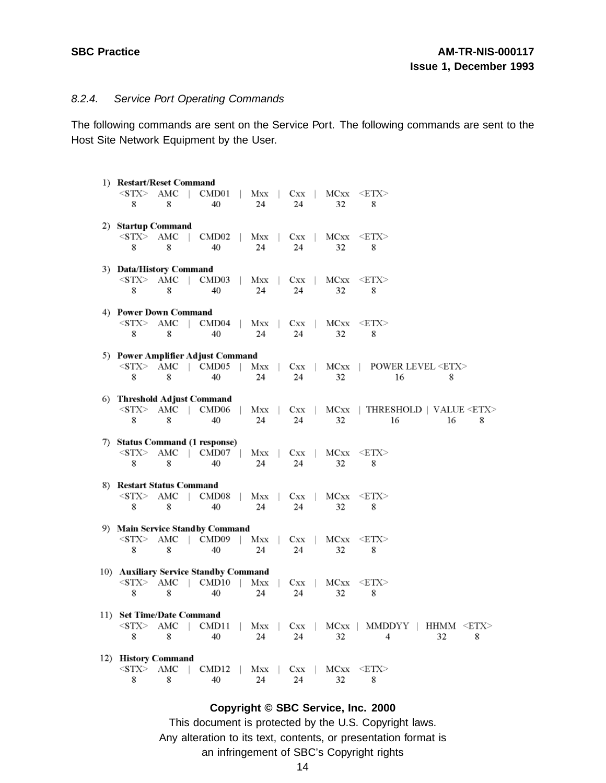### 8.2.4. Service Port Operating Commands

The following commands are sent on the Service Port. The following commands are sent to the Host Site Network Equipment by the User.

| 1) Restart/Reset Command  |     |                                          |              |             |               |              |      |                                      |
|---------------------------|-----|------------------------------------------|--------------|-------------|---------------|--------------|------|--------------------------------------|
| <stx></stx>               |     | $AMC$   CMD01   Mxx   Cxx                |              |             |               |              |      | $MCxx \leq TXY$                      |
| 8                         | 8   | 40                                       |              | 24          | 24            |              | 32   | 8                                    |
|                           |     |                                          |              |             |               |              |      |                                      |
| 2) Startup Command        |     |                                          |              |             |               |              |      |                                      |
|                           |     | $\langle$ STX> AMC   CMD02               | $\mathbb{R}$ | $Mxx$       | $C_{XX}$      |              |      | $MCxx \leq TXY$                      |
| 8                         | 8   | 40                                       |              | 24          | 24            |              | 32   | 8                                    |
|                           |     |                                          |              |             |               |              |      |                                      |
| 3) Data/History Command   |     |                                          |              |             |               |              |      |                                      |
|                           |     | $\langle$ STX $\rangle$ AMC   CMD03      |              |             | $Mxx$   $Cxx$ |              | MCxx | <etx></etx>                          |
| 8                         | 8   | 40                                       |              | 24          | 24            |              | 32   | 8                                    |
| 4) Power Down Command     |     |                                          |              |             |               |              |      |                                      |
|                           |     | $\langle \text{STX} \rangle$ amc   CMD04 |              |             | $Mxx$   $Cxx$ |              | MCxx | <etx></etx>                          |
| 8                         | 8   | 40                                       |              | 24          | 24            |              | 32   | 8                                    |
|                           |     |                                          |              |             |               |              |      |                                      |
|                           |     | 5) Power Amplifier Adjust Command        |              |             |               |              |      |                                      |
|                           |     | $\langle \text{STX} \rangle$ amc   CMD05 |              | Mxx         | Cxx           |              |      | MCxx   POWER LEVEL <etx></etx>       |
| 8                         | 8   | 40                                       |              | 24          | 24            |              | 32   | 16<br>8                              |
|                           |     |                                          |              |             |               |              |      |                                      |
|                           |     | 6) Threshold Adjust Command              |              |             |               |              |      |                                      |
|                           |     | $\langle$ STX $\rangle$ AMC   CMD06      |              |             | $Mxx$   $Cxx$ |              |      | MCxx   THRESHOLD   VALUE <etx></etx> |
| 8                         | 8   | 40                                       |              | 24          | 24            |              | 32   | 16<br>16<br>8                        |
|                           |     |                                          |              |             |               |              |      |                                      |
|                           |     | 7) Status Command (1 response)           |              |             |               |              |      |                                      |
|                           |     | $\langle$ STX> AMC   CMD07   Mxx         |              |             | $Cxx$         |              |      | $MCxx \leq ETX$                      |
| 8                         | 8   | 40                                       |              | 24          | 24            |              | 32   | 8                                    |
|                           |     |                                          |              |             |               |              |      |                                      |
| 8) Restart Status Command |     |                                          |              |             |               |              |      |                                      |
|                           |     | $\langle$ STX> AMC   CMD08               |              | $Mxx$       | Cxx           | $\Box$       | MCxx | <etx></etx>                          |
| 8                         | 8   | 40                                       |              | 24          | 24            |              | 32   | 8                                    |
|                           |     | 9) Main Service Standby Command          |              |             |               |              |      |                                      |
| $<$ STX $>$               |     | $AMC$   CMD09                            |              |             | $Mxx$   $Cxx$ |              | MCxx | <etx></etx>                          |
| 8                         | 8   | 40                                       |              | 24          | 24            |              | 32   | 8                                    |
|                           |     |                                          |              |             |               |              |      |                                      |
|                           |     | 10) Auxiliary Service Standby Command    |              |             |               |              |      |                                      |
|                           |     | $\langle$ STX> AMC   CMD10   Mxx         |              |             | $Cxx$         |              | MCxx | <etx></etx>                          |
| 8                         | 8   | 40                                       |              | 24          | 24            |              | 32   | 8                                    |
|                           |     |                                          |              |             |               |              |      |                                      |
| 11) Set Time/Date Command |     |                                          |              |             |               |              |      |                                      |
| <stx></stx>               |     | AMC   CMD11                              |              | $ $ Mxx $ $ | Cxx           | $\mathbf{1}$ | MCxx | MMDDYY  <br>$HHMM \leq TXY$          |
| 8                         | 8   | 40                                       |              | 24          | 24            |              | 32   | 32<br>8<br>4                         |
|                           |     |                                          |              |             |               |              |      |                                      |
| 12) History Command       |     |                                          |              |             |               |              |      |                                      |
| <stx></stx>               | AMC | CMD <sub>12</sub>                        |              | Mxx         | Cxx           |              | MCxx | $\langle$ ETX>                       |
| 8                         | 8   | 40                                       |              | 24          | 24            |              | 32   | 8                                    |

#### **Copyright © SBC Service, Inc. 2000**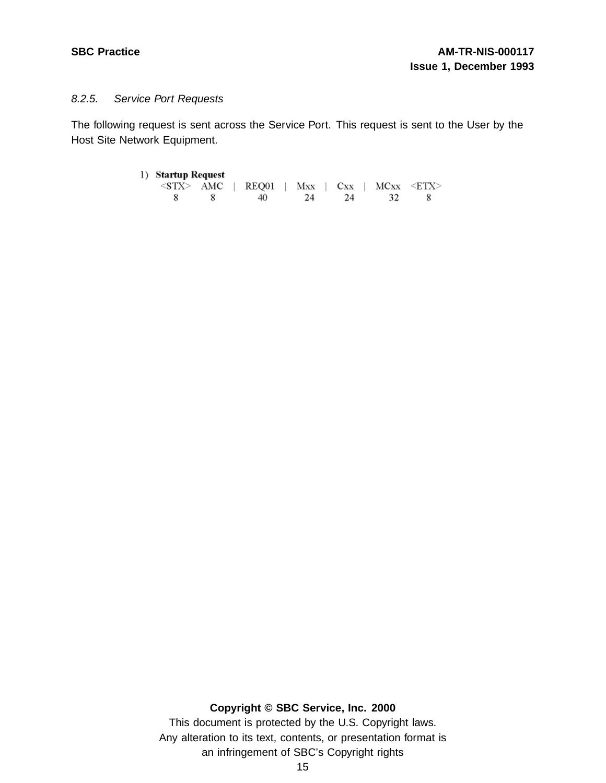#### 8.2.5. Service Port Requests

The following request is sent across the Service Port. This request is sent to the User by the Host Site Network Equipment.

#### 1) Startup Request

|  |  | $\langle$ STX> AMC   REQ01   Mxx   Cxx   MCxx $\langle$ ETX> |  |  |  |  |
|--|--|--------------------------------------------------------------|--|--|--|--|
|  |  | 8 8 40 24 24 32 8                                            |  |  |  |  |

#### **Copyright © SBC Service, Inc. 2000**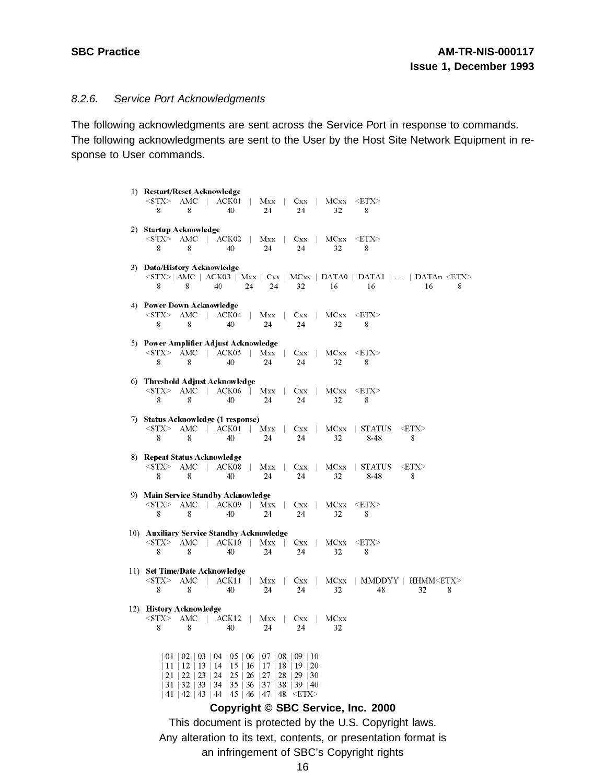#### 8.2.6. Service Port Acknowledgments

The following acknowledgments are sent across the Service Port in response to commands. The following acknowledgments are sent to the User by the Host Site Network Equipment in response to User commands.

| 1) Restart/Reset Acknowledge<br>$<$ STX $>$<br>8 | 8                                | $AMC$   $ACK01$<br>40                                                                                                                                                                                                                         | Mxx<br>24         | Cxx<br>24                   | MCxx<br>32        | $<$ ETX $>$<br>8                  |                                                                                                      |
|--------------------------------------------------|----------------------------------|-----------------------------------------------------------------------------------------------------------------------------------------------------------------------------------------------------------------------------------------------|-------------------|-----------------------------|-------------------|-----------------------------------|------------------------------------------------------------------------------------------------------|
| 2) Startup Acknowledge<br>8                      | 8                                | $<$ STX $>$ AMC   ACK02<br>40                                                                                                                                                                                                                 | $ $ Mxx $ $<br>24 | $Cxx$  <br>24               | 32                | $MCxx$ $\leq$ $ETX$<br>8          |                                                                                                      |
| 3) Data/History Acknowledge<br>8                 | 8                                | 40<br>24                                                                                                                                                                                                                                      | 24                | 32                          | 16                | 16                                | $\langle$ STX>   AMC   ACK03   Mxx   Cxx   MCxx   DATA0   DATA1      DATAn $\langle$ ETX><br>16<br>8 |
| 4) Power Down Acknowledge<br>$<$ STX $>$<br>8    | AMC<br>8                         | $ $ ACK04 $ $ Mxx $ $<br>40                                                                                                                                                                                                                   | 24                | $Cxx$  <br>24               | 32                | $MCxx$ < $ETX$ ><br>8             |                                                                                                      |
| 8                                                | 8                                | 5) Power Amplifier Adjust Acknowledge<br>$\langle \text{STX} \rangle$ amc   ack05   Mxx  <br>40                                                                                                                                               | 24                | $Cxx$  <br>24               | $\rm{MCxx}$<br>32 | $<$ ETX $>$<br>8                  |                                                                                                      |
| 8                                                | 8                                | 6) Threshold Adjust Acknowledge<br>$\langle \text{STX} \rangle$ amc   ack06   Mxx  <br>40                                                                                                                                                     | 24                | Cxx<br>24                   | MCxx<br>32        | $<$ ETX $>$<br>8                  |                                                                                                      |
| $<$ STX $>$<br>8                                 | 8                                | 7) Status Acknowledge (1 response)<br>$AMC$   $ACK01$   $Mxx$  <br>40                                                                                                                                                                         | 24                | 24                          | 32                | $Cxx$   $MCxx$   $STATUS$<br>8-48 | <etx><br/>8</etx>                                                                                    |
| 8) Repeat Status Acknowledge<br>8                | 8                                | $<$ STX $>$ AMC   ACK08<br>40                                                                                                                                                                                                                 | $ $ Mxx $ $<br>24 | $Cxx$  <br>24               | 32                | $MCxx$   STATUS<br>8-48           | <etx><br/>8</etx>                                                                                    |
| 8                                                | 8                                | 9) Main Service Standby Acknowledge<br>$\langle \text{STX} \rangle$ amc   ack09   Mxx  <br>40                                                                                                                                                 | 24                | Cxx<br>24                   | MCxx<br>32        | $<$ ETX $>$<br>8                  |                                                                                                      |
| 8                                                | 8                                | 10) Auxiliary Service Standby Acknowledge<br>$\langle \text{STX} \rangle$ amc   ack10   Mxx  <br>40                                                                                                                                           | 24                | $Cxx$  <br>24               | MCxx<br>32        | $<$ ETX $>$<br>8                  |                                                                                                      |
| $<$ st $_{\rm X}$<br>8                           | 8                                | 11) Set Time/Date Acknowledge<br>$AMC$   $ACK11$   $Mxx$  <br>40                                                                                                                                                                              | 24                | $Cxx$  <br>24               | 32                | 48                                | MCxx   MMDDYY   HHMM <etx><br/>32<br/>8</etx>                                                        |
| 12) History Acknowledge<br>$<$ STX $>$<br>8      | 8                                | $AMC$   $ACK12$  <br>40                                                                                                                                                                                                                       | Mxx<br>24         | $Cxx$  <br>24               | MCxx<br>32        |                                   |                                                                                                      |
| 21 <sup>1</sup><br>41                            | 22<br>23<br>$31 \mid 32 \mid 33$ | $\mid 01 \mid 02 \mid 03 \mid 04 \mid 05 \mid 06 \mid 07 \mid 08 \mid 09 \mid 10$<br>$11 \mid 12 \mid 13 \mid 14 \mid 15 \mid 16 \mid 17 \mid 18$<br>24<br>25 <sub>1</sub><br>26<br> 34 35 <br>36<br>42   43   44   45   46   47   48 < ETX > | 27   28<br> 37    | 19 20<br>29 30<br> 38 39 40 |                   |                                   |                                                                                                      |

#### **Copyright © SBC Service, Inc. 2000**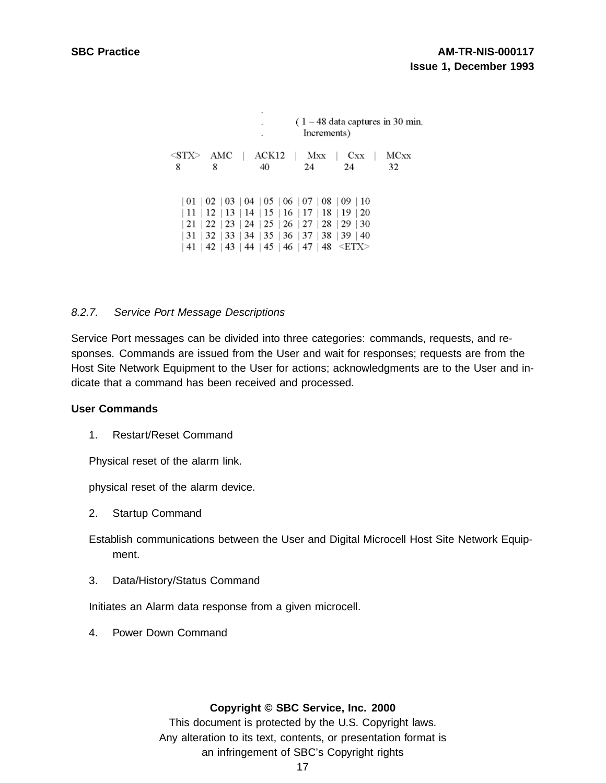|                       |                 | ٠<br>٠<br>٠                                                                                                                     | Increments) |                        | $(1 - 48$ data captures in 30 min. |
|-----------------------|-----------------|---------------------------------------------------------------------------------------------------------------------------------|-------------|------------------------|------------------------------------|
| <stx> AMC<br/>8</stx> | 8               | ACK12<br>40                                                                                                                     | Mxx<br>24   | <b>Cxx</b><br>24       | MCxx<br>32                         |
|                       |                 | 01   02   03   04   05   06   07   08   09   10<br>$11 \mid 12 \mid 13 \mid 14 \mid 15 \mid 16 \mid 17 \mid 18 \mid 19 \mid 20$ |             |                        |                                    |
| 21<br>31<br>41        | 33 <br>32<br>42 | 22 23 24 25 26 27 28 29 30<br>$34 \mid 35 \mid 36 \mid 37 \mid 38 \mid 39$<br>  43   44   45   46   47                          |             | l 40<br>48 <etx></etx> |                                    |

#### 8.2.7. Service Port Message Descriptions

Service Port messages can be divided into three categories: commands, requests, and responses. Commands are issued from the User and wait for responses; requests are from the Host Site Network Equipment to the User for actions; acknowledgments are to the User and indicate that a command has been received and processed.

#### **User Commands**

1. Restart/Reset Command

Physical reset of the alarm link.

physical reset of the alarm device.

2. Startup Command

Establish communications between the User and Digital Microcell Host Site Network Equipment.

3. Data/History/Status Command

Initiates an Alarm data response from a given microcell.

4. Power Down Command

#### **Copyright © SBC Service, Inc. 2000**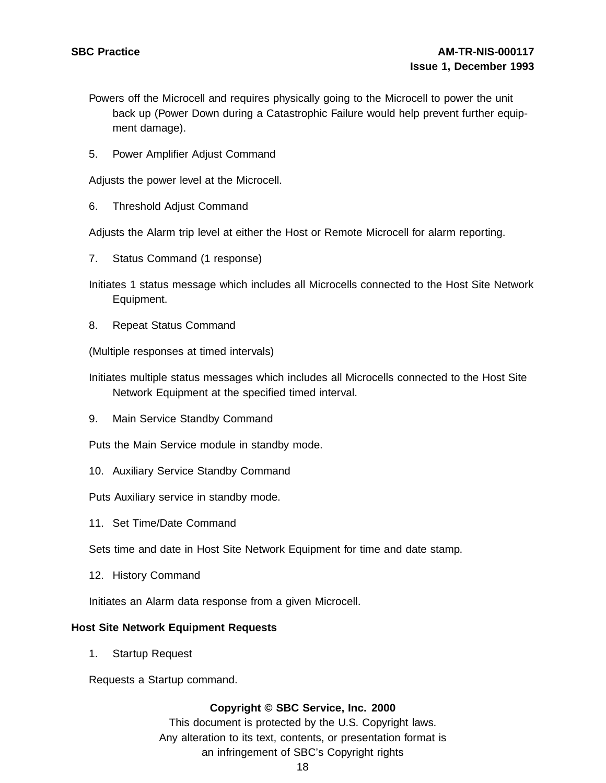- Powers off the Microcell and requires physically going to the Microcell to power the unit back up (Power Down during a Catastrophic Failure would help prevent further equipment damage).
- 5. Power Amplifier Adjust Command

Adjusts the power level at the Microcell.

6. Threshold Adjust Command

Adjusts the Alarm trip level at either the Host or Remote Microcell for alarm reporting.

- 7. Status Command (1 response)
- Initiates 1 status message which includes all Microcells connected to the Host Site Network Equipment.
- 8. Repeat Status Command

(Multiple responses at timed intervals)

- Initiates multiple status messages which includes all Microcells connected to the Host Site Network Equipment at the specified timed interval.
- 9. Main Service Standby Command

Puts the Main Service module in standby mode.

10. Auxiliary Service Standby Command

Puts Auxiliary service in standby mode.

11. Set Time/Date Command

Sets time and date in Host Site Network Equipment for time and date stamp.

12. History Command

Initiates an Alarm data response from a given Microcell.

#### **Host Site Network Equipment Requests**

1. Startup Request

Requests a Startup command.

#### **Copyright © SBC Service, Inc. 2000**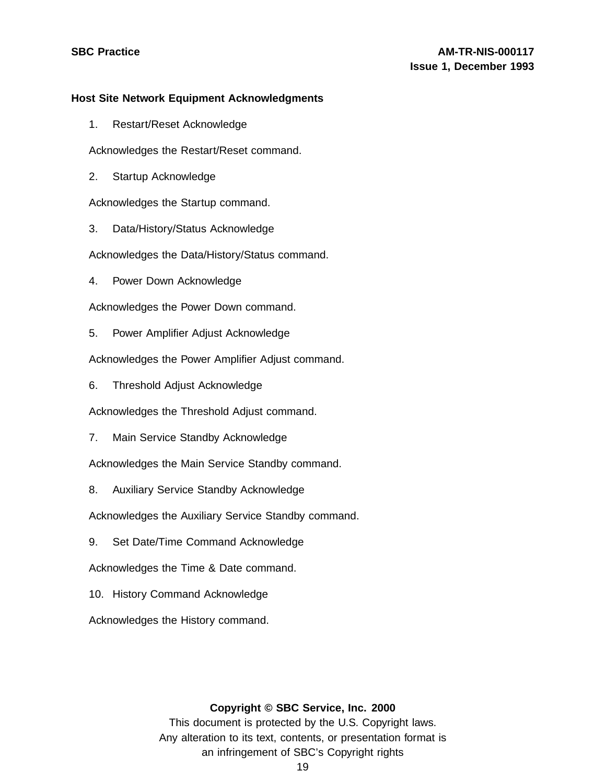#### **Host Site Network Equipment Acknowledgments**

1. Restart/Reset Acknowledge

Acknowledges the Restart/Reset command.

2. Startup Acknowledge

Acknowledges the Startup command.

3. Data/History/Status Acknowledge

Acknowledges the Data/History/Status command.

4. Power Down Acknowledge

Acknowledges the Power Down command.

5. Power Amplifier Adjust Acknowledge

Acknowledges the Power Amplifier Adjust command.

6. Threshold Adjust Acknowledge

Acknowledges the Threshold Adjust command.

7. Main Service Standby Acknowledge

Acknowledges the Main Service Standby command.

8. Auxiliary Service Standby Acknowledge

Acknowledges the Auxiliary Service Standby command.

9. Set Date/Time Command Acknowledge

Acknowledges the Time & Date command.

10. History Command Acknowledge

Acknowledges the History command.

#### **Copyright © SBC Service, Inc. 2000**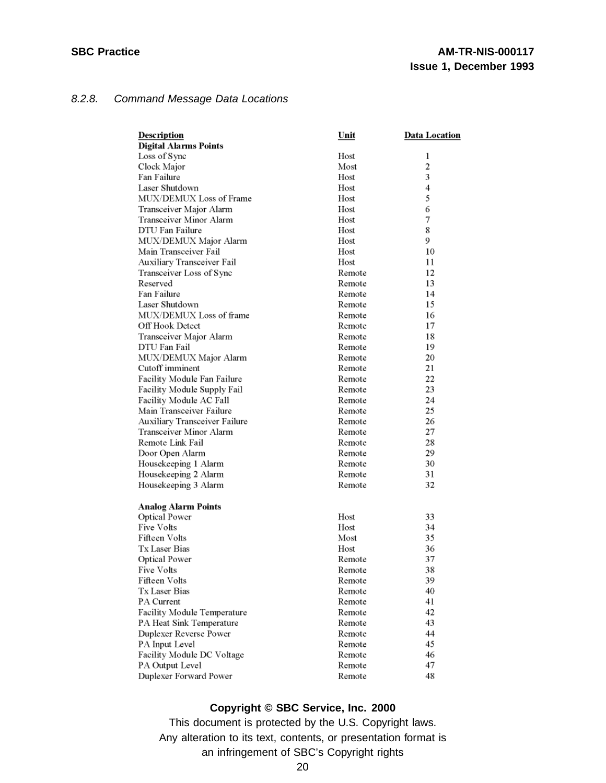### 8.2.8. Command Message Data Locations

| Loss of Sync<br>Host<br>1<br>2<br>Clock Major<br>Most<br>Fan Failure<br>3<br>Host<br>Laser Shutdown<br>Host<br>4<br>5<br>MUX/DEMUX Loss of Frame<br>Host<br>6<br>Transceiver Major Alarm<br>Host<br>7<br>Transceiver Minor Alarm<br>Host<br>DTU Fan Failure<br>8<br>Host<br>MUX/DEMUX Major Alarm<br>Host<br>9<br>Main Transceiver Fail<br>Host<br>10<br>Auxiliary Transceiver Fail<br>Host<br>11<br>12<br>Transceiver Loss of Sync<br>Remote<br>13<br>Reserved<br>Remote<br>Fan Failure<br>14<br>Remote<br>Laser Shutdown<br>15<br>Remote<br>MUX/DEMUX Loss of frame<br>Remote<br>16<br>Off Hook Detect<br>17<br>Remote<br>18<br>Transceiver Major Alarm<br>Remote<br>19<br>DTU Fan Fail<br>Remote<br>20<br>Remote<br>MUX/DEMUX Major Alarm<br>Cutoff imminent<br>21<br>Remote<br>22<br>Facility Module Fan Failure<br>Remote<br>23<br>Facility Module Supply Fail<br>Remote<br>Facility Module AC Fall<br>24<br>Remote<br>Main Transceiver Failure<br>25<br>Remote<br>Auxiliary Transceiver Failure<br>26<br>Remote<br>Transceiver Minor Alarm<br>27<br>Remote<br>Remote Link Fail<br>28<br>Remote<br>29<br>Door Open Alarm<br>Remote<br>30<br>Housekeeping 1 Alarm<br>Remote<br>31<br>Housekeeping 2 Alarm<br>Remote<br>32<br>Housekeeping 3 Alarm<br>Remote<br>Analog Alarm Points<br>Optical Power<br>Host<br>33<br>Five Volts<br>Host<br>34<br>Fifteen Volts<br>Most<br>35<br>Tx Laser Bias<br>36<br>Host<br>37<br>Optical Power<br>Remote<br>38<br>Five Volts<br>Remote<br>Fifteen Volts<br>39<br>Remote<br>Tx Laser Bias<br>40<br>Remote<br>41<br>PA Current<br>Remote<br>Facility Module Temperature<br>42<br>Remote<br>43<br>PA Heat Sink Temperature<br>Remote<br>Duplexer Reverse Power<br>Remote<br>44<br>PA Input Level<br>45<br>Remote<br>46<br>Facility Module DC Voltage<br>Remote<br>PA Output Level<br>47<br>Remote<br>Duplexer Forward Power<br>48<br>Remote | <b>Description</b>           | Unit | Data Location |
|----------------------------------------------------------------------------------------------------------------------------------------------------------------------------------------------------------------------------------------------------------------------------------------------------------------------------------------------------------------------------------------------------------------------------------------------------------------------------------------------------------------------------------------------------------------------------------------------------------------------------------------------------------------------------------------------------------------------------------------------------------------------------------------------------------------------------------------------------------------------------------------------------------------------------------------------------------------------------------------------------------------------------------------------------------------------------------------------------------------------------------------------------------------------------------------------------------------------------------------------------------------------------------------------------------------------------------------------------------------------------------------------------------------------------------------------------------------------------------------------------------------------------------------------------------------------------------------------------------------------------------------------------------------------------------------------------------------------------------------------------------------------------------------------------------------------------------------------------------------------------------|------------------------------|------|---------------|
|                                                                                                                                                                                                                                                                                                                                                                                                                                                                                                                                                                                                                                                                                                                                                                                                                                                                                                                                                                                                                                                                                                                                                                                                                                                                                                                                                                                                                                                                                                                                                                                                                                                                                                                                                                                                                                                                                  | <b>Digital Alarms Points</b> |      |               |
|                                                                                                                                                                                                                                                                                                                                                                                                                                                                                                                                                                                                                                                                                                                                                                                                                                                                                                                                                                                                                                                                                                                                                                                                                                                                                                                                                                                                                                                                                                                                                                                                                                                                                                                                                                                                                                                                                  |                              |      |               |
|                                                                                                                                                                                                                                                                                                                                                                                                                                                                                                                                                                                                                                                                                                                                                                                                                                                                                                                                                                                                                                                                                                                                                                                                                                                                                                                                                                                                                                                                                                                                                                                                                                                                                                                                                                                                                                                                                  |                              |      |               |
|                                                                                                                                                                                                                                                                                                                                                                                                                                                                                                                                                                                                                                                                                                                                                                                                                                                                                                                                                                                                                                                                                                                                                                                                                                                                                                                                                                                                                                                                                                                                                                                                                                                                                                                                                                                                                                                                                  |                              |      |               |
|                                                                                                                                                                                                                                                                                                                                                                                                                                                                                                                                                                                                                                                                                                                                                                                                                                                                                                                                                                                                                                                                                                                                                                                                                                                                                                                                                                                                                                                                                                                                                                                                                                                                                                                                                                                                                                                                                  |                              |      |               |
|                                                                                                                                                                                                                                                                                                                                                                                                                                                                                                                                                                                                                                                                                                                                                                                                                                                                                                                                                                                                                                                                                                                                                                                                                                                                                                                                                                                                                                                                                                                                                                                                                                                                                                                                                                                                                                                                                  |                              |      |               |
|                                                                                                                                                                                                                                                                                                                                                                                                                                                                                                                                                                                                                                                                                                                                                                                                                                                                                                                                                                                                                                                                                                                                                                                                                                                                                                                                                                                                                                                                                                                                                                                                                                                                                                                                                                                                                                                                                  |                              |      |               |
|                                                                                                                                                                                                                                                                                                                                                                                                                                                                                                                                                                                                                                                                                                                                                                                                                                                                                                                                                                                                                                                                                                                                                                                                                                                                                                                                                                                                                                                                                                                                                                                                                                                                                                                                                                                                                                                                                  |                              |      |               |
|                                                                                                                                                                                                                                                                                                                                                                                                                                                                                                                                                                                                                                                                                                                                                                                                                                                                                                                                                                                                                                                                                                                                                                                                                                                                                                                                                                                                                                                                                                                                                                                                                                                                                                                                                                                                                                                                                  |                              |      |               |
|                                                                                                                                                                                                                                                                                                                                                                                                                                                                                                                                                                                                                                                                                                                                                                                                                                                                                                                                                                                                                                                                                                                                                                                                                                                                                                                                                                                                                                                                                                                                                                                                                                                                                                                                                                                                                                                                                  |                              |      |               |
|                                                                                                                                                                                                                                                                                                                                                                                                                                                                                                                                                                                                                                                                                                                                                                                                                                                                                                                                                                                                                                                                                                                                                                                                                                                                                                                                                                                                                                                                                                                                                                                                                                                                                                                                                                                                                                                                                  |                              |      |               |
|                                                                                                                                                                                                                                                                                                                                                                                                                                                                                                                                                                                                                                                                                                                                                                                                                                                                                                                                                                                                                                                                                                                                                                                                                                                                                                                                                                                                                                                                                                                                                                                                                                                                                                                                                                                                                                                                                  |                              |      |               |
|                                                                                                                                                                                                                                                                                                                                                                                                                                                                                                                                                                                                                                                                                                                                                                                                                                                                                                                                                                                                                                                                                                                                                                                                                                                                                                                                                                                                                                                                                                                                                                                                                                                                                                                                                                                                                                                                                  |                              |      |               |
|                                                                                                                                                                                                                                                                                                                                                                                                                                                                                                                                                                                                                                                                                                                                                                                                                                                                                                                                                                                                                                                                                                                                                                                                                                                                                                                                                                                                                                                                                                                                                                                                                                                                                                                                                                                                                                                                                  |                              |      |               |
|                                                                                                                                                                                                                                                                                                                                                                                                                                                                                                                                                                                                                                                                                                                                                                                                                                                                                                                                                                                                                                                                                                                                                                                                                                                                                                                                                                                                                                                                                                                                                                                                                                                                                                                                                                                                                                                                                  |                              |      |               |
|                                                                                                                                                                                                                                                                                                                                                                                                                                                                                                                                                                                                                                                                                                                                                                                                                                                                                                                                                                                                                                                                                                                                                                                                                                                                                                                                                                                                                                                                                                                                                                                                                                                                                                                                                                                                                                                                                  |                              |      |               |
|                                                                                                                                                                                                                                                                                                                                                                                                                                                                                                                                                                                                                                                                                                                                                                                                                                                                                                                                                                                                                                                                                                                                                                                                                                                                                                                                                                                                                                                                                                                                                                                                                                                                                                                                                                                                                                                                                  |                              |      |               |
|                                                                                                                                                                                                                                                                                                                                                                                                                                                                                                                                                                                                                                                                                                                                                                                                                                                                                                                                                                                                                                                                                                                                                                                                                                                                                                                                                                                                                                                                                                                                                                                                                                                                                                                                                                                                                                                                                  |                              |      |               |
|                                                                                                                                                                                                                                                                                                                                                                                                                                                                                                                                                                                                                                                                                                                                                                                                                                                                                                                                                                                                                                                                                                                                                                                                                                                                                                                                                                                                                                                                                                                                                                                                                                                                                                                                                                                                                                                                                  |                              |      |               |
|                                                                                                                                                                                                                                                                                                                                                                                                                                                                                                                                                                                                                                                                                                                                                                                                                                                                                                                                                                                                                                                                                                                                                                                                                                                                                                                                                                                                                                                                                                                                                                                                                                                                                                                                                                                                                                                                                  |                              |      |               |
|                                                                                                                                                                                                                                                                                                                                                                                                                                                                                                                                                                                                                                                                                                                                                                                                                                                                                                                                                                                                                                                                                                                                                                                                                                                                                                                                                                                                                                                                                                                                                                                                                                                                                                                                                                                                                                                                                  |                              |      |               |
|                                                                                                                                                                                                                                                                                                                                                                                                                                                                                                                                                                                                                                                                                                                                                                                                                                                                                                                                                                                                                                                                                                                                                                                                                                                                                                                                                                                                                                                                                                                                                                                                                                                                                                                                                                                                                                                                                  |                              |      |               |
|                                                                                                                                                                                                                                                                                                                                                                                                                                                                                                                                                                                                                                                                                                                                                                                                                                                                                                                                                                                                                                                                                                                                                                                                                                                                                                                                                                                                                                                                                                                                                                                                                                                                                                                                                                                                                                                                                  |                              |      |               |
|                                                                                                                                                                                                                                                                                                                                                                                                                                                                                                                                                                                                                                                                                                                                                                                                                                                                                                                                                                                                                                                                                                                                                                                                                                                                                                                                                                                                                                                                                                                                                                                                                                                                                                                                                                                                                                                                                  |                              |      |               |
|                                                                                                                                                                                                                                                                                                                                                                                                                                                                                                                                                                                                                                                                                                                                                                                                                                                                                                                                                                                                                                                                                                                                                                                                                                                                                                                                                                                                                                                                                                                                                                                                                                                                                                                                                                                                                                                                                  |                              |      |               |
|                                                                                                                                                                                                                                                                                                                                                                                                                                                                                                                                                                                                                                                                                                                                                                                                                                                                                                                                                                                                                                                                                                                                                                                                                                                                                                                                                                                                                                                                                                                                                                                                                                                                                                                                                                                                                                                                                  |                              |      |               |
|                                                                                                                                                                                                                                                                                                                                                                                                                                                                                                                                                                                                                                                                                                                                                                                                                                                                                                                                                                                                                                                                                                                                                                                                                                                                                                                                                                                                                                                                                                                                                                                                                                                                                                                                                                                                                                                                                  |                              |      |               |
|                                                                                                                                                                                                                                                                                                                                                                                                                                                                                                                                                                                                                                                                                                                                                                                                                                                                                                                                                                                                                                                                                                                                                                                                                                                                                                                                                                                                                                                                                                                                                                                                                                                                                                                                                                                                                                                                                  |                              |      |               |
|                                                                                                                                                                                                                                                                                                                                                                                                                                                                                                                                                                                                                                                                                                                                                                                                                                                                                                                                                                                                                                                                                                                                                                                                                                                                                                                                                                                                                                                                                                                                                                                                                                                                                                                                                                                                                                                                                  |                              |      |               |
|                                                                                                                                                                                                                                                                                                                                                                                                                                                                                                                                                                                                                                                                                                                                                                                                                                                                                                                                                                                                                                                                                                                                                                                                                                                                                                                                                                                                                                                                                                                                                                                                                                                                                                                                                                                                                                                                                  |                              |      |               |
|                                                                                                                                                                                                                                                                                                                                                                                                                                                                                                                                                                                                                                                                                                                                                                                                                                                                                                                                                                                                                                                                                                                                                                                                                                                                                                                                                                                                                                                                                                                                                                                                                                                                                                                                                                                                                                                                                  |                              |      |               |
|                                                                                                                                                                                                                                                                                                                                                                                                                                                                                                                                                                                                                                                                                                                                                                                                                                                                                                                                                                                                                                                                                                                                                                                                                                                                                                                                                                                                                                                                                                                                                                                                                                                                                                                                                                                                                                                                                  |                              |      |               |
|                                                                                                                                                                                                                                                                                                                                                                                                                                                                                                                                                                                                                                                                                                                                                                                                                                                                                                                                                                                                                                                                                                                                                                                                                                                                                                                                                                                                                                                                                                                                                                                                                                                                                                                                                                                                                                                                                  |                              |      |               |
|                                                                                                                                                                                                                                                                                                                                                                                                                                                                                                                                                                                                                                                                                                                                                                                                                                                                                                                                                                                                                                                                                                                                                                                                                                                                                                                                                                                                                                                                                                                                                                                                                                                                                                                                                                                                                                                                                  |                              |      |               |
|                                                                                                                                                                                                                                                                                                                                                                                                                                                                                                                                                                                                                                                                                                                                                                                                                                                                                                                                                                                                                                                                                                                                                                                                                                                                                                                                                                                                                                                                                                                                                                                                                                                                                                                                                                                                                                                                                  |                              |      |               |
|                                                                                                                                                                                                                                                                                                                                                                                                                                                                                                                                                                                                                                                                                                                                                                                                                                                                                                                                                                                                                                                                                                                                                                                                                                                                                                                                                                                                                                                                                                                                                                                                                                                                                                                                                                                                                                                                                  |                              |      |               |
|                                                                                                                                                                                                                                                                                                                                                                                                                                                                                                                                                                                                                                                                                                                                                                                                                                                                                                                                                                                                                                                                                                                                                                                                                                                                                                                                                                                                                                                                                                                                                                                                                                                                                                                                                                                                                                                                                  |                              |      |               |
|                                                                                                                                                                                                                                                                                                                                                                                                                                                                                                                                                                                                                                                                                                                                                                                                                                                                                                                                                                                                                                                                                                                                                                                                                                                                                                                                                                                                                                                                                                                                                                                                                                                                                                                                                                                                                                                                                  |                              |      |               |
|                                                                                                                                                                                                                                                                                                                                                                                                                                                                                                                                                                                                                                                                                                                                                                                                                                                                                                                                                                                                                                                                                                                                                                                                                                                                                                                                                                                                                                                                                                                                                                                                                                                                                                                                                                                                                                                                                  |                              |      |               |
|                                                                                                                                                                                                                                                                                                                                                                                                                                                                                                                                                                                                                                                                                                                                                                                                                                                                                                                                                                                                                                                                                                                                                                                                                                                                                                                                                                                                                                                                                                                                                                                                                                                                                                                                                                                                                                                                                  |                              |      |               |
|                                                                                                                                                                                                                                                                                                                                                                                                                                                                                                                                                                                                                                                                                                                                                                                                                                                                                                                                                                                                                                                                                                                                                                                                                                                                                                                                                                                                                                                                                                                                                                                                                                                                                                                                                                                                                                                                                  |                              |      |               |
|                                                                                                                                                                                                                                                                                                                                                                                                                                                                                                                                                                                                                                                                                                                                                                                                                                                                                                                                                                                                                                                                                                                                                                                                                                                                                                                                                                                                                                                                                                                                                                                                                                                                                                                                                                                                                                                                                  |                              |      |               |
|                                                                                                                                                                                                                                                                                                                                                                                                                                                                                                                                                                                                                                                                                                                                                                                                                                                                                                                                                                                                                                                                                                                                                                                                                                                                                                                                                                                                                                                                                                                                                                                                                                                                                                                                                                                                                                                                                  |                              |      |               |
|                                                                                                                                                                                                                                                                                                                                                                                                                                                                                                                                                                                                                                                                                                                                                                                                                                                                                                                                                                                                                                                                                                                                                                                                                                                                                                                                                                                                                                                                                                                                                                                                                                                                                                                                                                                                                                                                                  |                              |      |               |
|                                                                                                                                                                                                                                                                                                                                                                                                                                                                                                                                                                                                                                                                                                                                                                                                                                                                                                                                                                                                                                                                                                                                                                                                                                                                                                                                                                                                                                                                                                                                                                                                                                                                                                                                                                                                                                                                                  |                              |      |               |
|                                                                                                                                                                                                                                                                                                                                                                                                                                                                                                                                                                                                                                                                                                                                                                                                                                                                                                                                                                                                                                                                                                                                                                                                                                                                                                                                                                                                                                                                                                                                                                                                                                                                                                                                                                                                                                                                                  |                              |      |               |
|                                                                                                                                                                                                                                                                                                                                                                                                                                                                                                                                                                                                                                                                                                                                                                                                                                                                                                                                                                                                                                                                                                                                                                                                                                                                                                                                                                                                                                                                                                                                                                                                                                                                                                                                                                                                                                                                                  |                              |      |               |
|                                                                                                                                                                                                                                                                                                                                                                                                                                                                                                                                                                                                                                                                                                                                                                                                                                                                                                                                                                                                                                                                                                                                                                                                                                                                                                                                                                                                                                                                                                                                                                                                                                                                                                                                                                                                                                                                                  |                              |      |               |
|                                                                                                                                                                                                                                                                                                                                                                                                                                                                                                                                                                                                                                                                                                                                                                                                                                                                                                                                                                                                                                                                                                                                                                                                                                                                                                                                                                                                                                                                                                                                                                                                                                                                                                                                                                                                                                                                                  |                              |      |               |
|                                                                                                                                                                                                                                                                                                                                                                                                                                                                                                                                                                                                                                                                                                                                                                                                                                                                                                                                                                                                                                                                                                                                                                                                                                                                                                                                                                                                                                                                                                                                                                                                                                                                                                                                                                                                                                                                                  |                              |      |               |
|                                                                                                                                                                                                                                                                                                                                                                                                                                                                                                                                                                                                                                                                                                                                                                                                                                                                                                                                                                                                                                                                                                                                                                                                                                                                                                                                                                                                                                                                                                                                                                                                                                                                                                                                                                                                                                                                                  |                              |      |               |

# **Copyright © SBC Service, Inc. 2000**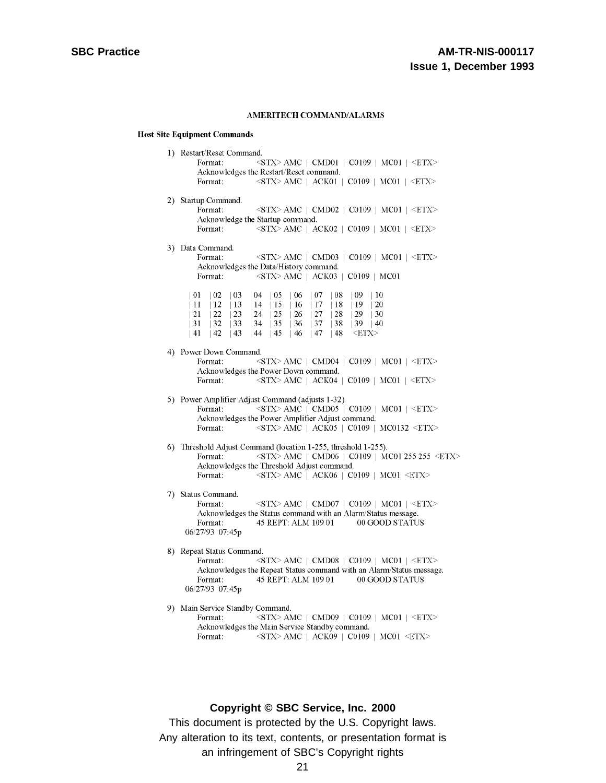#### AMERITECH COMMAND/ALARMS

#### **Host Site Equipment Commands**

| 1) Restart/Reset Command.                                                                                                                                                                          |  |  |  |  |  |  |
|----------------------------------------------------------------------------------------------------------------------------------------------------------------------------------------------------|--|--|--|--|--|--|
| $\langle$ STX>AMC   CMD01   C0109   MC01   <etx><br/>Format:</etx>                                                                                                                                 |  |  |  |  |  |  |
| Acknowledges the Restart/Reset command.                                                                                                                                                            |  |  |  |  |  |  |
| $\langle$ STX> AMC   ACK01   C0109   MC01   $\langle$ ETX><br>Format:                                                                                                                              |  |  |  |  |  |  |
| 2) Startup Command.                                                                                                                                                                                |  |  |  |  |  |  |
| Format:<br>$\langle$ STX> AMC   CMD02   C0109   MC01   $\langle$ ETX>                                                                                                                              |  |  |  |  |  |  |
| Acknowledge the Startup command.                                                                                                                                                                   |  |  |  |  |  |  |
| $\langle$ STX>AMC   ACK02   C0109   MC01   $\langle$ ETX><br>Format:                                                                                                                               |  |  |  |  |  |  |
| 3) Data Command.                                                                                                                                                                                   |  |  |  |  |  |  |
| $\langle$ STX> AMC   CMD03   C0109   MC01   $\langle$ ETX><br>Format:                                                                                                                              |  |  |  |  |  |  |
| Acknowledges the Data/History command.                                                                                                                                                             |  |  |  |  |  |  |
| $\langle$ STX>AMC   ACK03   C0109   MC01<br>Format:                                                                                                                                                |  |  |  |  |  |  |
|                                                                                                                                                                                                    |  |  |  |  |  |  |
| $\pm 02$<br>$\pm 07$<br>  01<br>$\vert 03$<br>$\vert 06$<br>$\sqrt{08}$<br>$\sqrt{09}$<br>$\pm 04$<br>$\sqrt{0.5}$<br>$\pm 10$<br>$\vert$ 12<br> 13<br> 14<br>$\vert$ 15<br> 17<br> 19<br>11<br>20 |  |  |  |  |  |  |
| 16<br>$\mid$ 18<br> 22<br> 25<br>$\frac{127}{2}$<br>21<br>23<br> 24<br>26<br>28<br>$\sqrt{29}$<br>30                                                                                               |  |  |  |  |  |  |
| $\vert$ 32<br> 37<br>31<br>33<br> 34<br>135<br>$\overline{36}$<br> 38<br>$\vert$ 39<br>$\pm 40$                                                                                                    |  |  |  |  |  |  |
| $\vert 42 \vert$<br> 45 <br>$\vert 46 \rangle$<br> 47<br> 48<br>$<$ ETX $>$<br>41<br> 43<br>  44                                                                                                   |  |  |  |  |  |  |
|                                                                                                                                                                                                    |  |  |  |  |  |  |
| 4) Power Down Command.                                                                                                                                                                             |  |  |  |  |  |  |
| $\langle$ STX> AMC   CMD04   C0109   MC01   $\langle$ ETX><br>Format:                                                                                                                              |  |  |  |  |  |  |
| Acknowledges the Power Down command.                                                                                                                                                               |  |  |  |  |  |  |
| $\langle$ STX> AMC   ACK04   C0109   MC01   $\langle$ ETX><br>Format:                                                                                                                              |  |  |  |  |  |  |
| 5) Power Amplifier Adjust Command (adjusts 1-32).                                                                                                                                                  |  |  |  |  |  |  |
| $\langle \text{STX}\rangle$ AMC   CMD05   C0109   MC01   $\langle \text{ETX}\rangle$<br>Format:                                                                                                    |  |  |  |  |  |  |
| Acknowledges the Power Amplifier Adjust command.                                                                                                                                                   |  |  |  |  |  |  |
| $\langle$ STX> AMC   ACK05   C0109   MC0132 $\langle$ ETX><br>Format:                                                                                                                              |  |  |  |  |  |  |
| 6) Threshold Adjust Command (location 1-255, threshold 1-255).                                                                                                                                     |  |  |  |  |  |  |
| $\langle$ STX> AMC   CMD06   C0109   MC01 255 255 <etx><br/>Format:</etx>                                                                                                                          |  |  |  |  |  |  |
| Acknowledges the Threshold Adjust command.                                                                                                                                                         |  |  |  |  |  |  |
| $\langle$ STX>AMC   ACK06   C0109   MC01 $\langle$ ETX><br>Format:                                                                                                                                 |  |  |  |  |  |  |
|                                                                                                                                                                                                    |  |  |  |  |  |  |
| 7) Status Command.<br>$\langle$ STX>AMC   CMD07   C0109   MC01   $\langle$ ETX><br>Format:                                                                                                         |  |  |  |  |  |  |
| Acknowledges the Status command with an Alarm/Status message.                                                                                                                                      |  |  |  |  |  |  |
| 00 GOOD STATUS<br>45 REPT: ALM 109 01<br>Format:                                                                                                                                                   |  |  |  |  |  |  |
| 06/27/93 07:45p                                                                                                                                                                                    |  |  |  |  |  |  |
|                                                                                                                                                                                                    |  |  |  |  |  |  |
| 8) Repeat Status Command.                                                                                                                                                                          |  |  |  |  |  |  |
| $\langle$ STX> AMC   CMD08   C0109   MC01   $\langle$ ETX><br>Format:                                                                                                                              |  |  |  |  |  |  |
| Acknowledges the Repeat Status command with an Alarm/Status message.<br>45 REPT: ALM 109 01<br>00 GOOD STATUS                                                                                      |  |  |  |  |  |  |
| Format:<br>06/27/93 07:45p                                                                                                                                                                         |  |  |  |  |  |  |
|                                                                                                                                                                                                    |  |  |  |  |  |  |
| 9) Main Service Standby Command.                                                                                                                                                                   |  |  |  |  |  |  |
| $\langle$ STX> AMC   CMD09   C0109   MC01   $\langle$ ETX><br>Format:                                                                                                                              |  |  |  |  |  |  |
| Acknowledges the Main Service Standby command.                                                                                                                                                     |  |  |  |  |  |  |
| $\langle$ STX>AMC   ACK09   C0109   MC01 $\langle$ ETX><br>Format:                                                                                                                                 |  |  |  |  |  |  |

# **Copyright © SBC Service, Inc. 2000**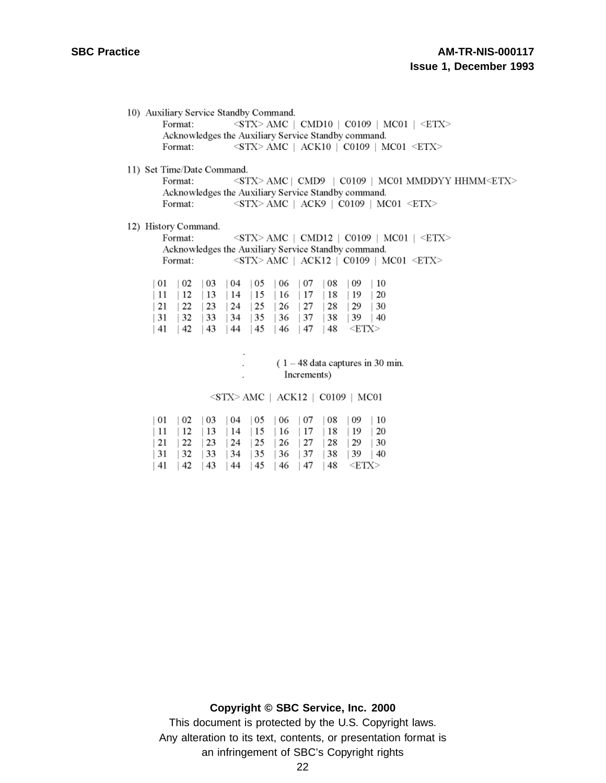| 10) Auxiliary Service Standby Command.<br>Format:<br>$\langle$ STX> AMC   CMD10   C0109   MC01   $\langle$ ETX><br>Acknowledges the Auxiliary Service Standby command.<br>$\langle$ STX> AMC   ACK10   C0109   MC01 $\langle$ ETX><br>Format:                                                                                                                                    |
|----------------------------------------------------------------------------------------------------------------------------------------------------------------------------------------------------------------------------------------------------------------------------------------------------------------------------------------------------------------------------------|
| 11) Set Time/Date Command.<br>$\langle$ STX> AMC   CMD9   C0109   MC01 MMDDYY HHMM $\langle$ ETX><br>Format:<br>Acknowledges the Auxiliary Service Standby command.<br>$\langle$ STX> AMC   ACK9   C0109   MC01 $\langle$ ETX><br>Format:                                                                                                                                        |
| 12) History Command.<br>Format:<br>$\langle$ STX> AMC   CMD12   C0109   MC01   $\langle$ ETX><br>Acknowledges the Auxiliary Service Standby command.<br>Format:<br>$\langle$ STX> AMC   ACK12   C0109   MC01 $\langle$ ETX>                                                                                                                                                      |
| 01<br>02<br>06<br>10<br>03<br>04<br>05<br>07<br>08<br>  09<br>11<br>12<br>$\vert$ 13<br> 14<br> 15<br>$\vert$ 16<br>17<br>18<br>  19<br>20<br>21<br>22<br>25<br>27<br>23<br>24<br>26<br>28<br>29<br>30<br>31<br>32<br>33<br>35<br> 36<br>37<br>38<br> 39<br> 34<br>$\mid$ 40<br>41<br>42<br>45<br>48<br>43<br>44<br> 46<br>47<br>${ <\hspace{-1.5pt}{\rm ETX} \hspace{-1.5pt}>}$ |
| $(1 - 48$ data captures in 30 min.<br>Increments)                                                                                                                                                                                                                                                                                                                                |
| $\langle$ STX> AMC   ACK12   C0109   MC01                                                                                                                                                                                                                                                                                                                                        |
| 01<br>02<br>03<br>04<br>05<br>06<br>07<br>08<br>09<br>10<br>11<br>12<br>17<br>18<br>13<br>14<br>15<br>16<br>19<br>20<br>21<br>22<br>23<br>24<br>25<br>26<br>27<br>28<br>29<br>30<br>31<br>32<br>33<br>35<br>36<br>37<br>38<br>40<br>34<br>39<br>41<br>${ <\hspace{-1.5pt}{\rm ETX} \hspace{-1.5pt}>}$<br>42<br>44<br>45<br> 46<br>47<br>48<br>43                                 |
|                                                                                                                                                                                                                                                                                                                                                                                  |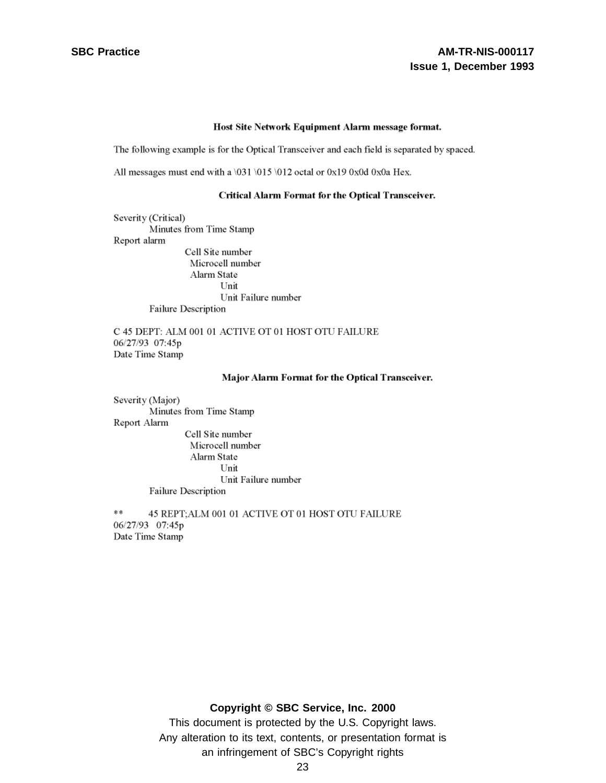#### Host Site Network Equipment Alarm message format.

The following example is for the Optical Transceiver and each field is separated by spaced.

All messages must end with a  $\031 \ 015 \ 012$  octal or 0x19 0x0d 0x0a Hex.

#### Critical Alarm Format for the Optical Transceiver.

Severity (Critical) Minutes from Time Stamp Report alarm Cell Site number Microcell number Alarm State Unit Unit Failure number Failure Description

C 45 DEPT: ALM 001 01 ACTIVE OT 01 HOST OTU FAILURE 06/27/93 07:45p Date Time Stamp

#### Major Alarm Format for the Optical Transceiver.

Severity (Major) Minutes from Time Stamp Report Alarm Cell Site number Microcell number Alarm State Unit Unit Failure number Failure Description

 $\ast\ast$ 45 REPT; ALM 001 01 ACTIVE OT 01 HOST OTU FAILURE 06/27/93 07:45p Date Time Stamp

#### **Copyright © SBC Service, Inc. 2000**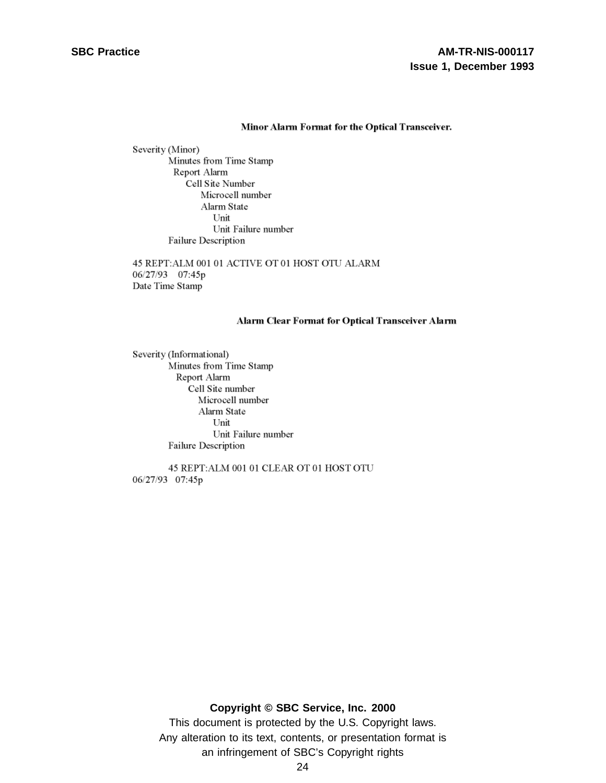#### Minor Alarm Format for the Optical Transceiver.

Severity (Minor) Minutes from Time Stamp Report Alarm Cell Site Number Microcell number Alarm State Unit Unit Failure number Failure Description

45 REPT:ALM 001 01 ACTIVE OT 01 HOST OTU ALARM 06/27/93 07:45p Date Time Stamp

#### Alarm Clear Format for Optical Transceiver Alarm

Severity (Informational) Minutes from Time Stamp Report Alarm Cell Site number Microcell number Alarm State Unit Unit Failure number Failure Description

45 REPT:ALM 001 01 CLEAR OT 01 HOST OTU 06/27/93 07:45p

#### **Copyright © SBC Service, Inc. 2000**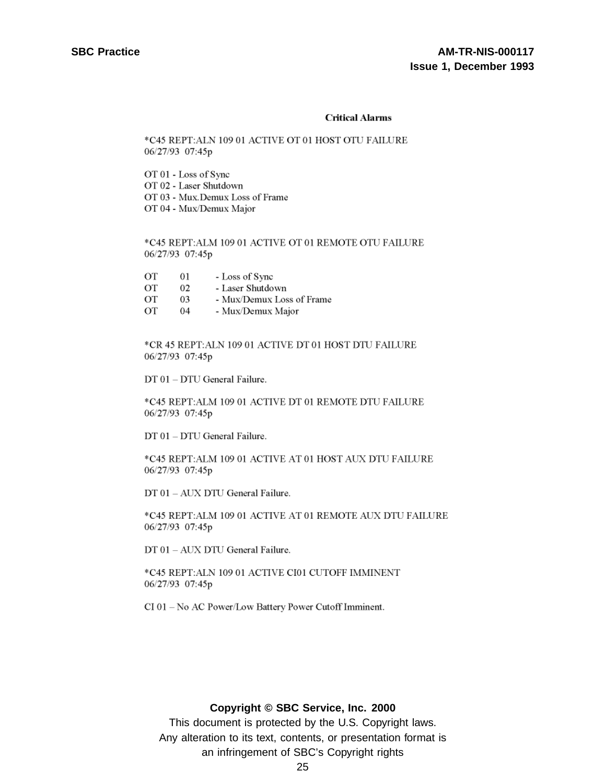#### **Critical Alarms**

\*C45 REPT:ALN 109 01 ACTIVE OT 01 HOST OTU FAILURE 06/27/93 07:45p

OT 01 - Loss of Sync OT 02 - Laser Shutdown OT 03 - Mux.Demux Loss of Frame OT 04 - Mux/Demux Major

\*C45 REPT: ALM 109 01 ACTIVE OT 01 REMOTE OTU FAILURE 06/27/93 07:45p

| OТ | 01 | - Loss of Sync            |
|----|----|---------------------------|
| OТ | 02 | - Laser Shutdown          |
| OТ | 03 | - Mux/Demux Loss of Frame |
| OТ | 04 | - Mux/Demux Major         |

\*CR 45 REPT: ALN 109 01 ACTIVE DT 01 HOST DTU FAILURE 06/27/93 07:45p

DT 01 - DTU General Failure.

\*C45 REPT:ALM 109 01 ACTIVE DT 01 REMOTE DTU FAILURE 06/27/93 07:45p

DT 01 - DTU General Failure.

\*C45 REPT: ALM 109 01 ACTIVE AT 01 HOST AUX DTU FAILURE 06/27/93 07:45p

DT 01 - AUX DTU General Failure.

\*C45 REPT:ALM 109 01 ACTIVE AT 01 REMOTE AUX DTU FAILURE 06/27/93 07:45p

DT 01 - AUX DTU General Failure.

\*C45 REPT:ALN 109 01 ACTIVE CI01 CUTOFF IMMINENT 06/27/93 07:45p

CI 01 - No AC Power/Low Battery Power Cutoff Imminent.

#### **Copyright © SBC Service, Inc. 2000**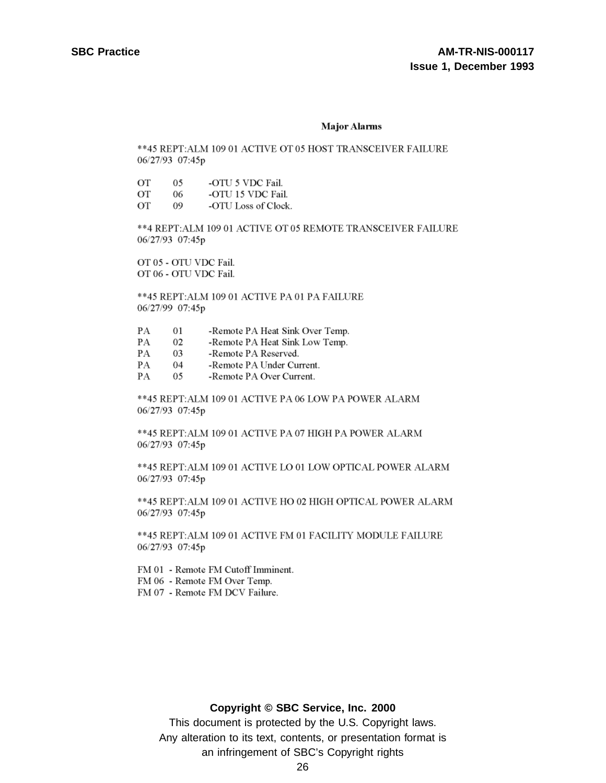#### **Major Alarms**

\*\* 45 REPT: ALM 109 01 ACTIVE OT 05 HOST TRANSCEIVER FAILURE 06/27/93 07:45p

OT. 05 -OTU 5 VDC Fail. 06  $\overline{OT}$ -OTU 15 VDC Fail. 09 OT -OTU Loss of Clock.

\*\* 4 REPT: ALM 109 01 ACTIVE OT 05 REMOTE TRANSCEIVER FAILURE 06/27/93 07:45p

OT 05 - OTU VDC Fail. OT 06 - OTU VDC Fail.

\*\*45 REPT: ALM 109 01 ACTIVE PA 01 PA FAILURE 06/27/99 07:45p

- PA 01 -Remote PA Heat Sink Over Temp.
- PA 02 -Remote PA Heat Sink Low Temp.
- $\begin{array}{c} 03 \\ 04 \end{array}$ PA -Remote PA Reserved.
- PA -Remote PA Under Current.
- PA 05 -Remote PA Over Current.

\*\* 45 REPT: ALM 109 01 ACTIVE PA 06 LOW PA POWER ALARM 06/27/93 07:45p

\*\*45 REPT:ALM 109 01 ACTIVE PA 07 HIGH PA POWER ALARM 06/27/93 07:45p

\*\*45 REPT: ALM 109 01 ACTIVE LO 01 LOW OPTICAL POWER ALARM 06/27/93 07:45p

\*\*45 REPT: ALM 109 01 ACTIVE HO 02 HIGH OPTICAL POWER ALARM 06/27/93 07:45p

\*\*45 REPT: ALM 109 01 ACTIVE FM 01 FACILITY MODULE FAILURE 06/27/93 07:45p

- FM 01 Remote FM Cutoff Imminent.
- FM 06 Remote FM Over Temp.
- FM 07 Remote FM DCV Failure.

#### **Copyright © SBC Service, Inc. 2000**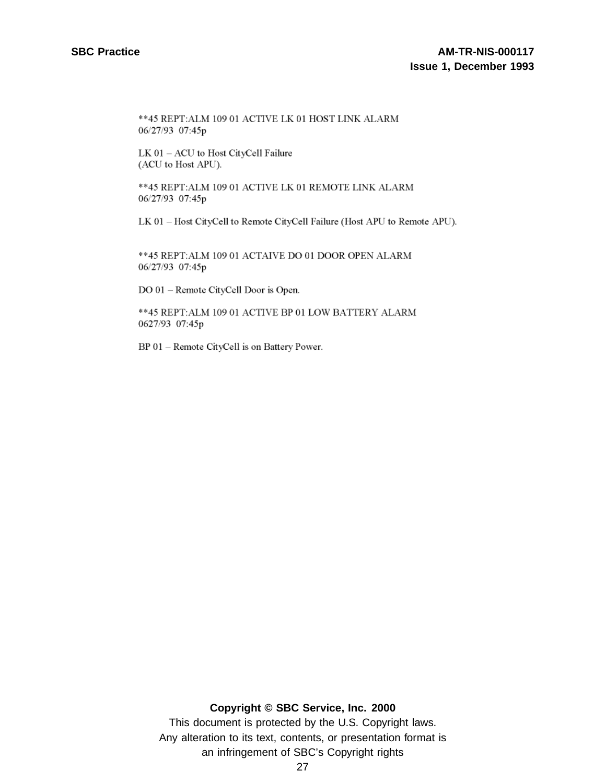\*\* 45 REPT: ALM 109 01 ACTIVE LK 01 HOST LINK ALARM 06/27/93 07:45p

LK 01 - ACU to Host CityCell Failure (ACU to Host APU).

\*\* 45 REPT: ALM 109 01 ACTIVE LK 01 REMOTE LINK ALARM 06/27/93 07:45p

LK 01 - Host CityCell to Remote CityCell Failure (Host APU to Remote APU).

\*\* 45 REPT: ALM 109 01 ACTAIVE DO 01 DOOR OPEN ALARM 06/27/93 07:45p

DO 01 - Remote CityCell Door is Open.

\*\* 45 REPT: ALM 109 01 ACTIVE BP 01 LOW BATTERY ALARM 0627/93 07:45p

BP 01 - Remote CityCell is on Battery Power.

#### **Copyright © SBC Service, Inc. 2000**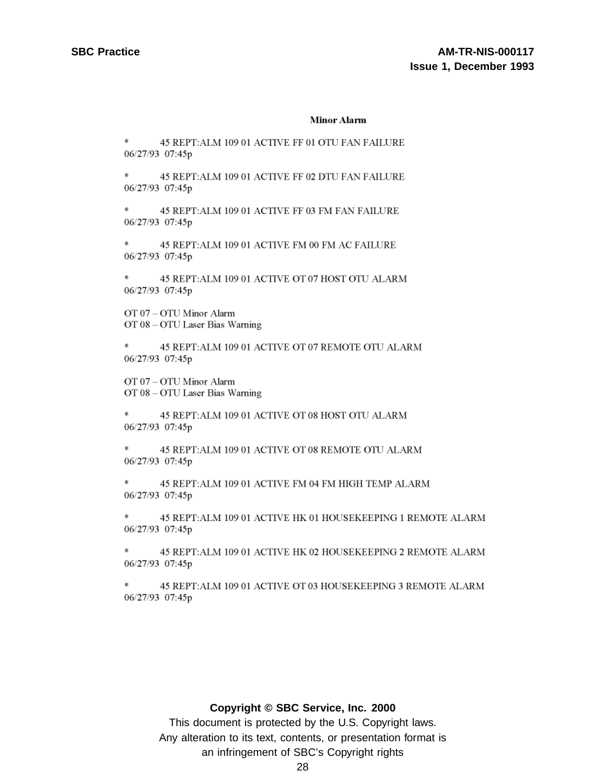#### **Minor Alarm**

45 REPT:ALM 109 01 ACTIVE FF 01 OTU FAN FAILURE 06/27/93 07:45p

\* 45 REPT: ALM 109 01 ACTIVE FF 02 DTU FAN FAILURE 06/27/93 07:45p

歌 45 REPT:ALM 109 01 ACTIVE FF 03 FM FAN FAILURE 06/27/93 07:45p

45 REPT: ALM 109 01 ACTIVE FM 00 FM AC FAILURE 06/27/93 07:45p

 $*$ 45 REPT: ALM 109 01 ACTIVE OT 07 HOST OTU ALARM 06/27/93 07:45p

OT 07 - OTU Minor Alarm OT 08 - OTU Laser Bias Warning

\* 45 REPT:ALM 109 01 ACTIVE OT 07 REMOTE OTU ALARM 06/27/93 07:45p

OT 07 - OTU Minor Alarm OT 08 - OTU Laser Bias Warning

45 REPT: ALM 109 01 ACTIVE OT 08 HOST OTU ALARM ∗ 06/27/93 07:45p

45 REPT:ALM 109 01 ACTIVE OT 08 REMOTE OTU ALARM 06/27/93 07:45p

\* 45 REPT: ALM 109 01 ACTIVE FM 04 FM HIGH TEMP ALARM 06/27/93 07:45p

45 REPT:ALM 109 01 ACTIVE HK 01 HOUSEKEEPING 1 REMOTE ALARM 承 06/27/93 07:45p

 $*$ 45 REPT: ALM 109 01 ACTIVE HK 02 HOUSEKEEPING 2 REMOTE ALARM 06/27/93 07:45p

45 REPT:ALM 109 01 ACTIVE OT 03 HOUSEKEEPING 3 REMOTE ALARM 06/27/93 07:45p

#### **Copyright © SBC Service, Inc. 2000**